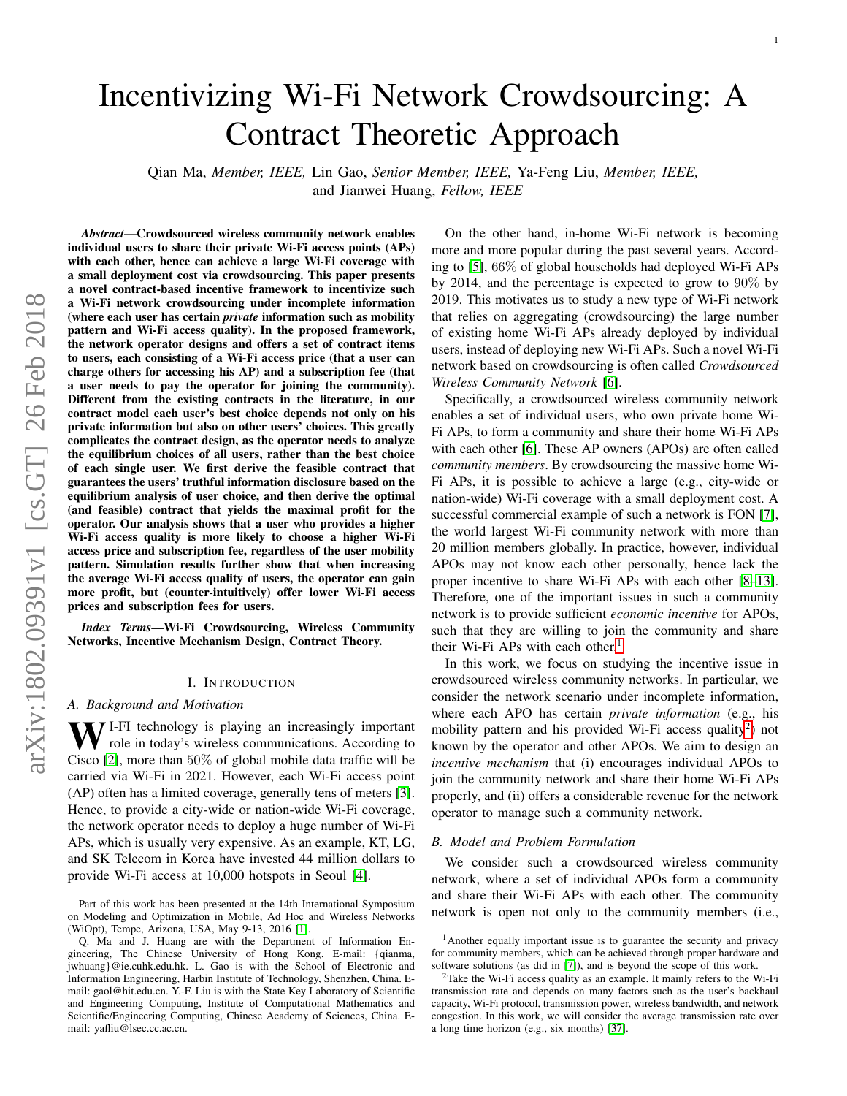# Incentivizing Wi-Fi Network Crowdsourcing: A Contract Theoretic Approach

Qian Ma, *Member, IEEE,* Lin Gao, *Senior Member, IEEE,* Ya-Feng Liu, *Member, IEEE,* and Jianwei Huang, *Fellow, IEEE*

*Abstract*—Crowdsourced wireless community network enables individual users to share their private Wi-Fi access points (APs) with each other, hence can achieve a large Wi-Fi coverage with a small deployment cost via crowdsourcing. This paper presents a novel contract-based incentive framework to incentivize such a Wi-Fi network crowdsourcing under incomplete information (where each user has certain *private* information such as mobility pattern and Wi-Fi access quality). In the proposed framework, the network operator designs and offers a set of contract items to users, each consisting of a Wi-Fi access price (that a user can charge others for accessing his AP) and a subscription fee (that a user needs to pay the operator for joining the community). Different from the existing contracts in the literature, in our contract model each user's best choice depends not only on his private information but also on other users' choices. This greatly complicates the contract design, as the operator needs to analyze the equilibrium choices of all users, rather than the best choice of each single user. We first derive the feasible contract that guarantees the users' truthful information disclosure based on the equilibrium analysis of user choice, and then derive the optimal (and feasible) contract that yields the maximal profit for the operator. Our analysis shows that a user who provides a higher Wi-Fi access quality is more likely to choose a higher Wi-Fi access price and subscription fee, regardless of the user mobility pattern. Simulation results further show that when increasing the average Wi-Fi access quality of users, the operator can gain more profit, but (counter-intuitively) offer lower Wi-Fi access prices and subscription fees for users.

*Index Terms*—Wi-Fi Crowdsourcing, Wireless Community Networks, Incentive Mechanism Design, Contract Theory.

# I. INTRODUCTION

# *A. Background and Motivation*

WI-FI technology is playing an increasingly important role in today's wireless communications. According to Cisco [\[2\]](#page-13-0), more than 50% of global mobile data traffic will be carried via Wi-Fi in 2021. However, each Wi-Fi access point (AP) often has a limited coverage, generally tens of meters [\[3\]](#page-13-1). Hence, to provide a city-wide or nation-wide Wi-Fi coverage, the network operator needs to deploy a huge number of Wi-Fi APs, which is usually very expensive. As an example, KT, LG, and SK Telecom in Korea have invested 44 million dollars to provide Wi-Fi access at 10,000 hotspots in Seoul [\[4\]](#page-13-2).

On the other hand, in-home Wi-Fi network is becoming more and more popular during the past several years. According to [\[5\]](#page-13-4), 66% of global households had deployed Wi-Fi APs by 2014, and the percentage is expected to grow to 90% by 2019. This motivates us to study a new type of Wi-Fi network that relies on aggregating (crowdsourcing) the large number of existing home Wi-Fi APs already deployed by individual users, instead of deploying new Wi-Fi APs. Such a novel Wi-Fi network based on crowdsourcing is often called *Crowdsourced Wireless Community Network* [\[6\]](#page-13-5).

Specifically, a crowdsourced wireless community network enables a set of individual users, who own private home Wi-Fi APs, to form a community and share their home Wi-Fi APs with each other [\[6\]](#page-13-5). These AP owners (APOs) are often called *community members*. By crowdsourcing the massive home Wi-Fi APs, it is possible to achieve a large (e.g., city-wide or nation-wide) Wi-Fi coverage with a small deployment cost. A successful commercial example of such a network is FON [\[7\]](#page-13-6), the world largest Wi-Fi community network with more than 20 million members globally. In practice, however, individual APOs may not know each other personally, hence lack the proper incentive to share Wi-Fi APs with each other [\[8](#page-13-7)[–13\]](#page-13-8). Therefore, one of the important issues in such a community network is to provide sufficient *economic incentive* for APOs, such that they are willing to join the community and share their Wi-Fi APs with each other.<sup>[1](#page-0-0)</sup>

In this work, we focus on studying the incentive issue in crowdsourced wireless community networks. In particular, we consider the network scenario under incomplete information, where each APO has certain *private information* (e.g., his mobility pattern and his provided Wi-Fi access quality<sup>[2](#page-0-1)</sup>) not known by the operator and other APOs. We aim to design an *incentive mechanism* that (i) encourages individual APOs to join the community network and share their home Wi-Fi APs properly, and (ii) offers a considerable revenue for the network operator to manage such a community network.

#### *B. Model and Problem Formulation*

We consider such a crowdsourced wireless community network, where a set of individual APOs form a community and share their Wi-Fi APs with each other. The community network is open not only to the community members (i.e.,

Part of this work has been presented at the 14th International Symposium on Modeling and Optimization in Mobile, Ad Hoc and Wireless Networks (WiOpt), Tempe, Arizona, USA, May 9-13, 2016 [\[1\]](#page-13-3).

Q. Ma and J. Huang are with the Department of Information Engineering, The Chinese University of Hong Kong. E-mail: {qianma, jwhuang}@ie.cuhk.edu.hk. L. Gao is with the School of Electronic and Information Engineering, Harbin Institute of Technology, Shenzhen, China. Email: gaol@hit.edu.cn. Y.-F. Liu is with the State Key Laboratory of Scientific and Engineering Computing, Institute of Computational Mathematics and Scientific/Engineering Computing, Chinese Academy of Sciences, China. Email: yafliu@lsec.cc.ac.cn.

<span id="page-0-0"></span><sup>&</sup>lt;sup>1</sup> Another equally important issue is to guarantee the security and privacy for community members, which can be achieved through proper hardware and software solutions (as did in [\[7\]](#page-13-6)), and is beyond the scope of this work.

<span id="page-0-1"></span><sup>2</sup>Take the Wi-Fi access quality as an example. It mainly refers to the Wi-Fi transmission rate and depends on many factors such as the user's backhaul capacity, Wi-Fi protocol, transmission power, wireless bandwidth, and network congestion. In this work, we will consider the average transmission rate over a long time horizon (e.g., six months) [\[37\]](#page-13-9).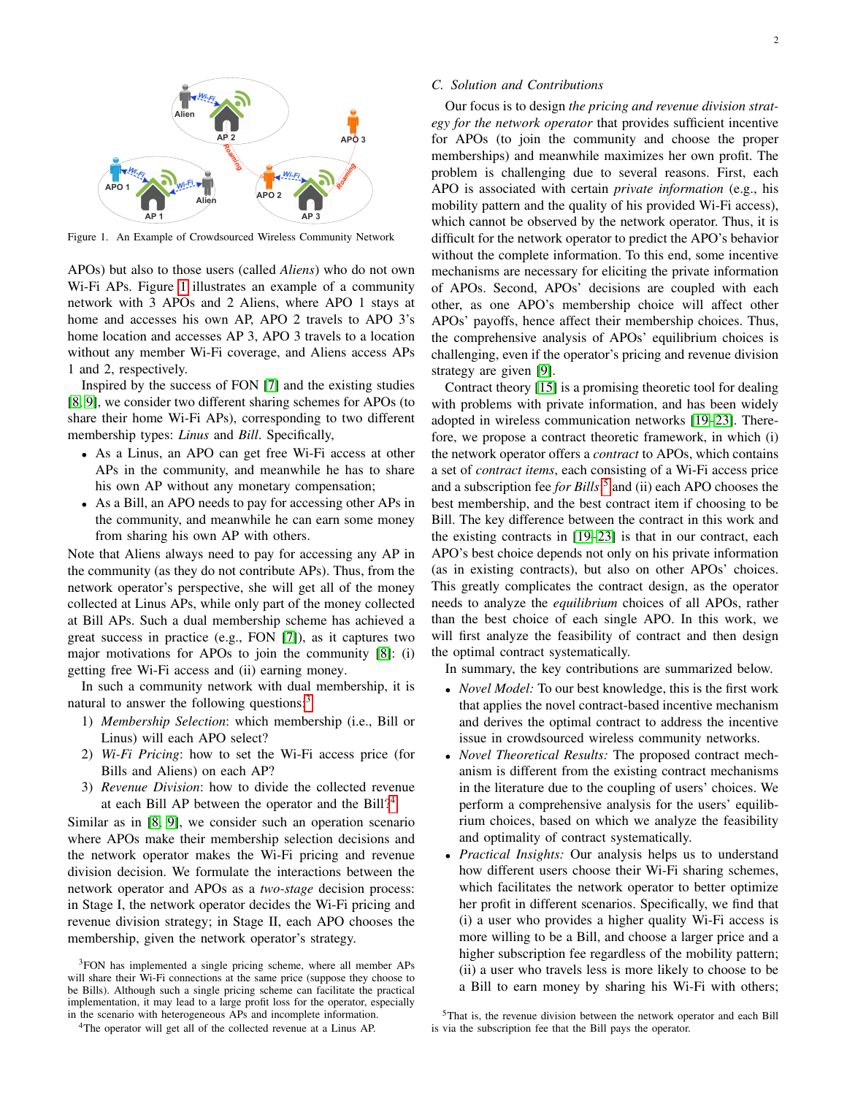

<span id="page-1-0"></span>Figure 1. An Example of Crowdsourced Wireless Community Network

APOs) but also to those users (called *Aliens*) who do not own Wi-Fi APs. Figure [1](#page-1-0) illustrates an example of a community network with 3 APOs and 2 Aliens, where APO 1 stays at home and accesses his own AP, APO 2 travels to APO 3's home location and accesses AP 3, APO 3 travels to a location without any member Wi-Fi coverage, and Aliens access APs 1 and 2, respectively.

Inspired by the success of FON [\[7\]](#page-13-6) and the existing studies [\[8,](#page-13-7) [9\]](#page-13-10), we consider two different sharing schemes for APOs (to share their home Wi-Fi APs), corresponding to two different membership types: *Linus* and *Bill*. Specifically,

- As a Linus, an APO can get free Wi-Fi access at other APs in the community, and meanwhile he has to share his own AP without any monetary compensation;
- As a Bill, an APO needs to pay for accessing other APs in the community, and meanwhile he can earn some money from sharing his own AP with others.

Note that Aliens always need to pay for accessing any AP in the community (as they do not contribute APs). Thus, from the network operator's perspective, she will get all of the money collected at Linus APs, while only part of the money collected at Bill APs. Such a dual membership scheme has achieved a great success in practice (e.g., FON [\[7\]](#page-13-6)), as it captures two major motivations for APOs to join the community [\[8\]](#page-13-7): (i) getting free Wi-Fi access and (ii) earning money.

In such a community network with dual membership, it is natural to answer the following questions:<sup>[3](#page-1-1)</sup>

- 1) *Membership Selection*: which membership (i.e., Bill or Linus) will each APO select?
- 2) *Wi-Fi Pricing*: how to set the Wi-Fi access price (for Bills and Aliens) on each AP?
- 3) *Revenue Division*: how to divide the collected revenue at each Bill AP between the operator and the Bill?<sup>[4](#page-1-2)</sup>

Similar as in [\[8,](#page-13-7) [9\]](#page-13-10), we consider such an operation scenario where APOs make their membership selection decisions and the network operator makes the Wi-Fi pricing and revenue division decision. We formulate the interactions between the network operator and APOs as a *two-stage* decision process: in Stage I, the network operator decides the Wi-Fi pricing and revenue division strategy; in Stage II, each APO chooses the membership, given the network operator's strategy.

Our focus is to design *the pricing and revenue division strategy for the network operator* that provides sufficient incentive for APOs (to join the community and choose the proper memberships) and meanwhile maximizes her own profit. The problem is challenging due to several reasons. First, each APO is associated with certain *private information* (e.g., his mobility pattern and the quality of his provided Wi-Fi access), which cannot be observed by the network operator. Thus, it is difficult for the network operator to predict the APO's behavior without the complete information. To this end, some incentive mechanisms are necessary for eliciting the private information of APOs. Second, APOs' decisions are coupled with each other, as one APO's membership choice will affect other APOs' payoffs, hence affect their membership choices. Thus, the comprehensive analysis of APOs' equilibrium choices is challenging, even if the operator's pricing and revenue division strategy are given [\[9\]](#page-13-10).

Contract theory [\[15\]](#page-13-11) is a promising theoretic tool for dealing with problems with private information, and has been widely adopted in wireless communication networks [\[19](#page-13-12)[–23\]](#page-13-13). Therefore, we propose a contract theoretic framework, in which (i) the network operator offers a *contract* to APOs, which contains a set of *contract items*, each consisting of a Wi-Fi access price and a subscription fee *for Bills*;<sup>[5](#page-1-3)</sup> and (ii) each APO chooses the best membership, and the best contract item if choosing to be Bill. The key difference between the contract in this work and the existing contracts in [\[19](#page-13-12)[–23\]](#page-13-13) is that in our contract, each APO's best choice depends not only on his private information (as in existing contracts), but also on other APOs' choices. This greatly complicates the contract design, as the operator needs to analyze the *equilibrium* choices of all APOs, rather than the best choice of each single APO. In this work, we will first analyze the feasibility of contract and then design the optimal contract systematically.

In summary, the key contributions are summarized below.

- *Novel Model:* To our best knowledge, this is the first work that applies the novel contract-based incentive mechanism and derives the optimal contract to address the incentive issue in crowdsourced wireless community networks.
- *Novel Theoretical Results:* The proposed contract mechanism is different from the existing contract mechanisms in the literature due to the coupling of users' choices. We perform a comprehensive analysis for the users' equilibrium choices, based on which we analyze the feasibility and optimality of contract systematically.
- *Practical Insights:* Our analysis helps us to understand how different users choose their Wi-Fi sharing schemes, which facilitates the network operator to better optimize her profit in different scenarios. Specifically, we find that (i) a user who provides a higher quality Wi-Fi access is more willing to be a Bill, and choose a larger price and a higher subscription fee regardless of the mobility pattern; (ii) a user who travels less is more likely to choose to be a Bill to earn money by sharing his Wi-Fi with others;

<span id="page-1-1"></span><sup>3</sup>FON has implemented a single pricing scheme, where all member APs will share their Wi-Fi connections at the same price (suppose they choose to be Bills). Although such a single pricing scheme can facilitate the practical implementation, it may lead to a large profit loss for the operator, especially in the scenario with heterogeneous APs and incomplete information.

<span id="page-1-2"></span><sup>4</sup>The operator will get all of the collected revenue at a Linus AP.

<span id="page-1-3"></span><sup>&</sup>lt;sup>5</sup>That is, the revenue division between the network operator and each Bill is via the subscription fee that the Bill pays the operator.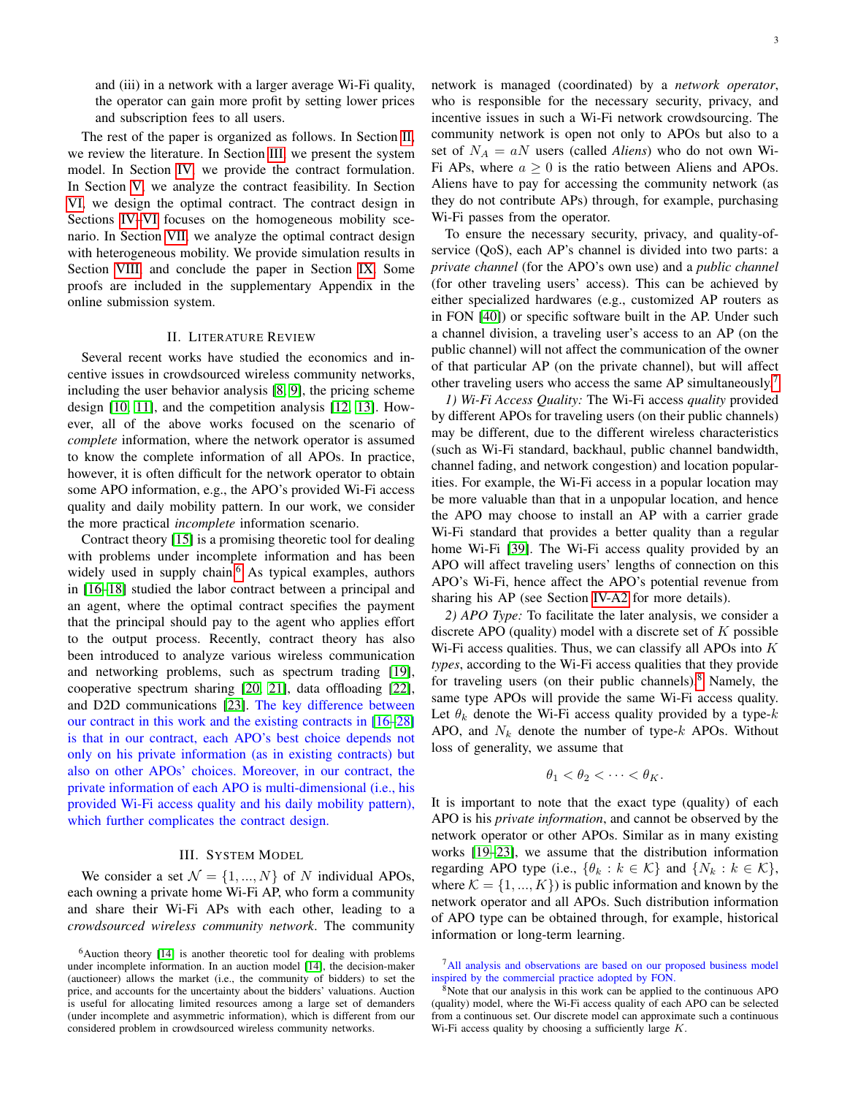and (iii) in a network with a larger average Wi-Fi quality, the operator can gain more profit by setting lower prices and subscription fees to all users.

The rest of the paper is organized as follows. In Section [II,](#page-2-0) we review the literature. In Section [III,](#page-2-1) we present the system model. In Section [IV,](#page-3-0) we provide the contract formulation. In Section [V,](#page-5-0) we analyze the contract feasibility. In Section [VI,](#page-6-0) we design the optimal contract. The contract design in Sections [IV](#page-3-0)[–VI](#page-6-0) focuses on the homogeneous mobility scenario. In Section [VII,](#page-8-0) we analyze the optimal contract design with heterogeneous mobility. We provide simulation results in Section [VIII,](#page-10-0) and conclude the paper in Section [IX.](#page-12-0) Some proofs are included in the supplementary Appendix in the online submission system.

# II. LITERATURE REVIEW

<span id="page-2-0"></span>Several recent works have studied the economics and incentive issues in crowdsourced wireless community networks, including the user behavior analysis [\[8,](#page-13-7) [9\]](#page-13-10), the pricing scheme design [\[10,](#page-13-14) [11\]](#page-13-15), and the competition analysis [\[12,](#page-13-16) [13\]](#page-13-8). However, all of the above works focused on the scenario of *complete* information, where the network operator is assumed to know the complete information of all APOs. In practice, however, it is often difficult for the network operator to obtain some APO information, e.g., the APO's provided Wi-Fi access quality and daily mobility pattern. In our work, we consider the more practical *incomplete* information scenario.

Contract theory [\[15\]](#page-13-11) is a promising theoretic tool for dealing with problems under incomplete information and has been widely used in supply chain.<sup>[6](#page-2-2)</sup> As typical examples, authors in [\[16](#page-13-17)[–18\]](#page-13-18) studied the labor contract between a principal and an agent, where the optimal contract specifies the payment that the principal should pay to the agent who applies effort to the output process. Recently, contract theory has also been introduced to analyze various wireless communication and networking problems, such as spectrum trading [\[19\]](#page-13-12), cooperative spectrum sharing [\[20,](#page-13-19) [21\]](#page-13-20), data offloading [\[22\]](#page-13-21), and D2D communications [\[23\]](#page-13-13). The key difference between our contract in this work and the existing contracts in [\[16–](#page-13-17)[28\]](#page-13-22) is that in our contract, each APO's best choice depends not only on his private information (as in existing contracts) but also on other APOs' choices. Moreover, in our contract, the private information of each APO is multi-dimensional (i.e., his provided Wi-Fi access quality and his daily mobility pattern), which further complicates the contract design.

#### III. SYSTEM MODEL

<span id="page-2-1"></span>We consider a set  $\mathcal{N} = \{1, ..., N\}$  of N individual APOs, each owning a private home Wi-Fi AP, who form a community and share their Wi-Fi APs with each other, leading to a *crowdsourced wireless community network*. The community network is managed (coordinated) by a *network operator*, who is responsible for the necessary security, privacy, and incentive issues in such a Wi-Fi network crowdsourcing. The community network is open not only to APOs but also to a set of  $N_A = aN$  users (called *Aliens*) who do not own Wi-Fi APs, where  $a \geq 0$  is the ratio between Aliens and APOs. Aliens have to pay for accessing the community network (as they do not contribute APs) through, for example, purchasing Wi-Fi passes from the operator.

To ensure the necessary security, privacy, and quality-ofservice (QoS), each AP's channel is divided into two parts: a *private channel* (for the APO's own use) and a *public channel* (for other traveling users' access). This can be achieved by either specialized hardwares (e.g., customized AP routers as in FON [\[40\]](#page-13-24)) or specific software built in the AP. Under such a channel division, a traveling user's access to an AP (on the public channel) will not affect the communication of the owner of that particular AP (on the private channel), but will affect other traveling users who access the same AP simultaneously.<sup>[7](#page-2-3)</sup>

*1) Wi-Fi Access Quality:* The Wi-Fi access *quality* provided by different APOs for traveling users (on their public channels) may be different, due to the different wireless characteristics (such as Wi-Fi standard, backhaul, public channel bandwidth, channel fading, and network congestion) and location popularities. For example, the Wi-Fi access in a popular location may be more valuable than that in a unpopular location, and hence the APO may choose to install an AP with a carrier grade Wi-Fi standard that provides a better quality than a regular home Wi-Fi [\[39\]](#page-13-25). The Wi-Fi access quality provided by an APO will affect traveling users' lengths of connection on this APO's Wi-Fi, hence affect the APO's potential revenue from sharing his AP (see Section [IV-A2](#page-4-0) for more details).

*2) APO Type:* To facilitate the later analysis, we consider a discrete APO (quality) model with a discrete set of  $K$  possible Wi-Fi access qualities. Thus, we can classify all APOs into  $K$ *types*, according to the Wi-Fi access qualities that they provide for traveling users (on their public channels). $8$  Namely, the same type APOs will provide the same Wi-Fi access quality. Let  $\theta_k$  denote the Wi-Fi access quality provided by a type- $k$ APO, and  $N_k$  denote the number of type- $k$  APOs. Without loss of generality, we assume that

$$
\theta_1 < \theta_2 < \cdots < \theta_K.
$$

It is important to note that the exact type (quality) of each APO is his *private information*, and cannot be observed by the network operator or other APOs. Similar as in many existing works [\[19](#page-13-12)[–23\]](#page-13-13), we assume that the distribution information regarding APO type (i.e.,  $\{\theta_k : k \in \mathcal{K}\}\$  and  $\{N_k : k \in \mathcal{K}\}\$ , where  $\mathcal{K} = \{1, ..., K\}$  is public information and known by the network operator and all APOs. Such distribution information of APO type can be obtained through, for example, historical information or long-term learning.

<span id="page-2-3"></span><sup>7</sup>All analysis and observations are based on our proposed business model inspired by the commercial practice adopted by FON.

<span id="page-2-2"></span> $6$ Auction theory [\[14\]](#page-13-23) is another theoretic tool for dealing with problems under incomplete information. In an auction model [\[14\]](#page-13-23), the decision-maker (auctioneer) allows the market (i.e., the community of bidders) to set the price, and accounts for the uncertainty about the bidders' valuations. Auction is useful for allocating limited resources among a large set of demanders (under incomplete and asymmetric information), which is different from our considered problem in crowdsourced wireless community networks.

<span id="page-2-4"></span><sup>8</sup>Note that our analysis in this work can be applied to the continuous APO (quality) model, where the Wi-Fi access quality of each APO can be selected from a continuous set. Our discrete model can approximate such a continuous Wi-Fi access quality by choosing a sufficiently large  $K$ .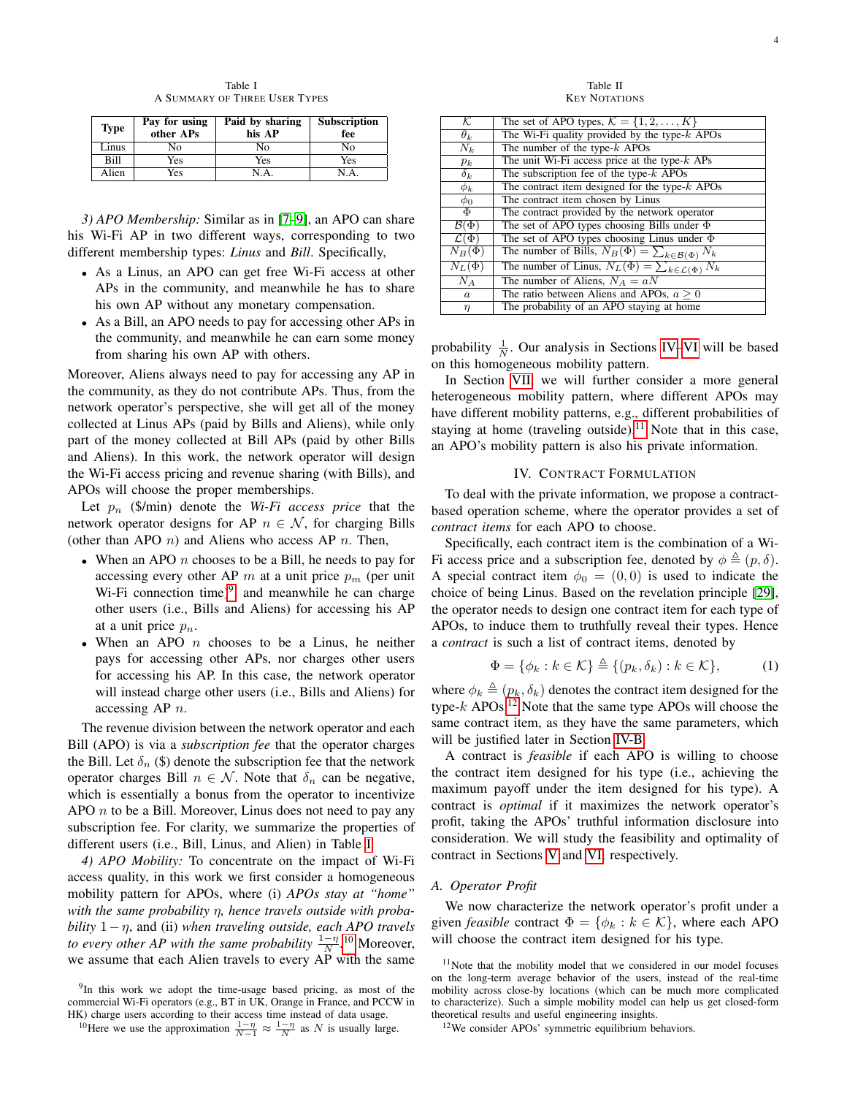Table I A SUMMARY OF THREE USER TYPES

<span id="page-3-2"></span>

| <b>Type</b> | Pay for using<br>other APs | Paid by sharing<br>his AP | <b>Subscription</b><br>fee |
|-------------|----------------------------|---------------------------|----------------------------|
| Linus       | No                         | No                        | No                         |
| <b>Bill</b> | Yes                        | Yes                       | Yes                        |
| Alien       | Yes                        | N.A.                      | N.A.                       |

*3) APO Membership:* Similar as in [\[7](#page-13-6)[–9\]](#page-13-10), an APO can share his Wi-Fi AP in two different ways, corresponding to two different membership types: *Linus* and *Bill*. Specifically,

- As a Linus, an APO can get free Wi-Fi access at other APs in the community, and meanwhile he has to share his own AP without any monetary compensation.
- As a Bill, an APO needs to pay for accessing other APs in the community, and meanwhile he can earn some money from sharing his own AP with others.

Moreover, Aliens always need to pay for accessing any AP in the community, as they do not contribute APs. Thus, from the network operator's perspective, she will get all of the money collected at Linus APs (paid by Bills and Aliens), while only part of the money collected at Bill APs (paid by other Bills and Aliens). In this work, the network operator will design the Wi-Fi access pricing and revenue sharing (with Bills), and APOs will choose the proper memberships.

Let  $p_n$  (\$/min) denote the *Wi-Fi access price* that the network operator designs for AP  $n \in \mathcal{N}$ , for charging Bills (other than APO  $n$ ) and Aliens who access AP  $n$ . Then,

- When an APO  $n$  chooses to be a Bill, he needs to pay for accessing every other AP m at a unit price  $p_m$  (per unit Wi-Fi connection time)<sup>[9](#page-3-1)</sup>, and meanwhile he can charge other users (i.e., Bills and Aliens) for accessing his AP at a unit price  $p_n$ .
- When an APO  $n$  chooses to be a Linus, he neither pays for accessing other APs, nor charges other users for accessing his AP. In this case, the network operator will instead charge other users (i.e., Bills and Aliens) for accessing AP  $n$ .

The revenue division between the network operator and each Bill (APO) is via a *subscription fee* that the operator charges the Bill. Let  $\delta_n$  (\$) denote the subscription fee that the network operator charges Bill  $n \in \mathcal{N}$ . Note that  $\delta_n$  can be negative, which is essentially a bonus from the operator to incentivize APO  $n$  to be a Bill. Moreover, Linus does not need to pay any subscription fee. For clarity, we summarize the properties of different users (i.e., Bill, Linus, and Alien) in Table [I.](#page-3-2)

*4) APO Mobility:* To concentrate on the impact of Wi-Fi access quality, in this work we first consider a homogeneous mobility pattern for APOs, where (i) *APOs stay at "home" with the same probability* η*, hence travels outside with probability* 1−η, and (ii) *when traveling outside, each APO travels to every other AP with the same probability*  $\frac{1-\eta}{N}$ .<sup>[10](#page-3-3)</sup> Moreover, we assume that each Alien travels to every AP with the same

Table II KEY NOTATIONS

<span id="page-3-6"></span>

| ĸ                              | The set of APO types, $\mathcal{K} = \{1, 2, \ldots, K\}$             |  |
|--------------------------------|-----------------------------------------------------------------------|--|
| $\theta_k$                     | The Wi-Fi quality provided by the type- $k$ APOs                      |  |
| $N_k$                          | The number of the type- $k$ APOs                                      |  |
| $p_k$                          | The unit Wi-Fi access price at the type- $k$ APs                      |  |
| $\delta_k$                     | The subscription fee of the type- $k$ APOs                            |  |
| $\phi_k$                       | The contract item designed for the type- $k$ APOs                     |  |
| $\phi_0$                       | The contract item chosen by Linus                                     |  |
| $\overline{\Phi}$              | The contract provided by the network operator                         |  |
| $\mathcal{B}(\overline{\Phi})$ | The set of APO types choosing Bills under $\Phi$                      |  |
| $\overline{\mathcal{L}(\Phi)}$ | The set of APO types choosing Linus under $\Phi$                      |  |
| $N_B(\Phi)$                    | The number of Bills, $N_B(\Phi) = \sum_{k \in \mathcal{B}(\Phi)} N_k$ |  |
| $N_L(\Phi)$                    | The number of Linus, $N_L(\Phi) = \sum_{k \in \mathcal{L}(\Phi)} N_k$ |  |
| $\overline{N_A}$               | The number of Aliens, $N_A = aN$                                      |  |
| $\boldsymbol{a}$               | The ratio between Aliens and APOs, $a > 0$                            |  |
| $\eta$                         | The probability of an APO staying at home                             |  |

probability  $\frac{1}{N}$ . Our analysis in Sections [IV](#page-3-0)[–VI](#page-6-0) will be based on this homogeneous mobility pattern.

In Section [VII,](#page-8-0) we will further consider a more general heterogeneous mobility pattern, where different APOs may have different mobility patterns, e.g., different probabilities of staying at home (traveling outside).<sup>[11](#page-3-4)</sup> Note that in this case, an APO's mobility pattern is also his private information.

#### IV. CONTRACT FORMULATION

<span id="page-3-0"></span>To deal with the private information, we propose a contractbased operation scheme, where the operator provides a set of *contract items* for each APO to choose.

Specifically, each contract item is the combination of a Wi-Fi access price and a subscription fee, denoted by  $\phi \triangleq (p, \delta)$ . A special contract item  $\phi_0 = (0, 0)$  is used to indicate the choice of being Linus. Based on the revelation principle [\[29\]](#page-13-26), the operator needs to design one contract item for each type of APOs, to induce them to truthfully reveal their types. Hence a *contract* is such a list of contract items, denoted by

$$
\Phi = \{ \phi_k : k \in \mathcal{K} \} \triangleq \{ (p_k, \delta_k) : k \in \mathcal{K} \},\tag{1}
$$

where  $\phi_k \triangleq (p_k, \delta_k)$  denotes the contract item designed for the type- $k$  APOs.<sup>[12](#page-3-5)</sup> Note that the same type APOs will choose the same contract item, as they have the same parameters, which will be justified later in Section [IV-B.](#page-4-1)

A contract is *feasible* if each APO is willing to choose the contract item designed for his type (i.e., achieving the maximum payoff under the item designed for his type). A contract is *optimal* if it maximizes the network operator's profit, taking the APOs' truthful information disclosure into consideration. We will study the feasibility and optimality of contract in Sections [V](#page-5-0) and [VI,](#page-6-0) respectively.

#### *A. Operator Profit*

We now characterize the network operator's profit under a given *feasible* contract  $\Phi = {\phi_k : k \in \mathcal{K}}$ , where each APO will choose the contract item designed for his type.

<span id="page-3-5"></span><sup>12</sup>We consider APOs' symmetric equilibrium behaviors.

<span id="page-3-1"></span><sup>&</sup>lt;sup>9</sup>In this work we adopt the time-usage based pricing, as most of the commercial Wi-Fi operators (e.g., BT in UK, Orange in France, and PCCW in HK) charge users according to their access time instead of data usage.

<span id="page-3-3"></span><sup>&</sup>lt;sup>10</sup>Here we use the approximation  $\frac{1-\eta}{N-1} \approx \frac{1-\eta}{N}$  as N is usually large.

<span id="page-3-4"></span><sup>&</sup>lt;sup>11</sup>Note that the mobility model that we considered in our model focuses on the long-term average behavior of the users, instead of the real-time mobility across close-by locations (which can be much more complicated to characterize). Such a simple mobility model can help us get closed-form theoretical results and useful engineering insights.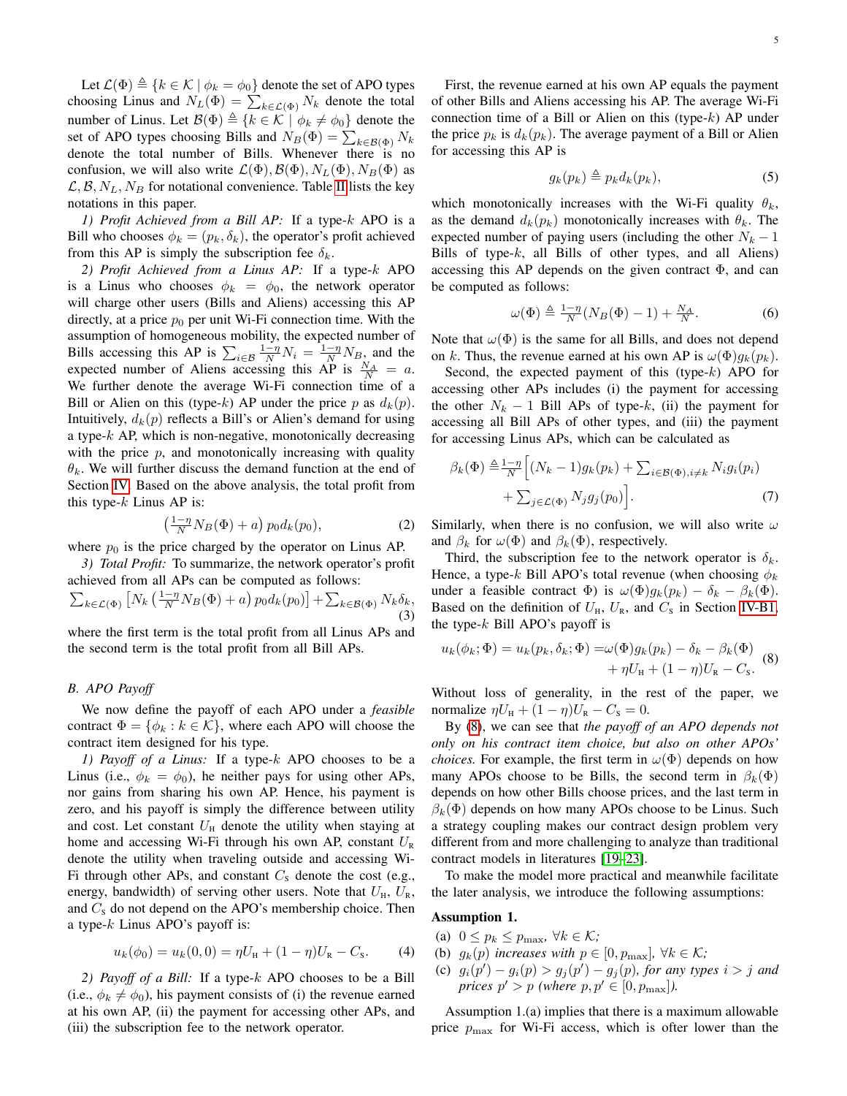Let  $\mathcal{L}(\Phi) \triangleq \{k \in \mathcal{K} \mid \phi_k = \phi_0\}$  denote the set of APO types choosing Linus and  $N_L(\Phi) = \sum_{k \in \mathcal{L}(\Phi)} N_k$  denote the total number of Linus. Let  $\mathcal{B}(\Phi) \triangleq \{k \in \mathcal{K} \mid \phi_k \neq \phi_0\}$  denote the set of APO types choosing Bills and  $N_B(\Phi) = \sum_{k \in \mathcal{B}(\Phi)} N_k$ denote the total number of Bills. Whenever there is no confusion, we will also write  $\mathcal{L}(\Phi)$ ,  $\mathcal{B}(\Phi)$ ,  $N_L(\Phi)$ ,  $N_B(\Phi)$  as  $\mathcal{L}, \mathcal{B}, N_L, N_B$  for notational convenience. Table [II](#page-3-6) lists the key notations in this paper.

*1) Profit Achieved from a Bill AP:* If a type-k APO is a Bill who chooses  $\phi_k = (p_k, \delta_k)$ , the operator's profit achieved from this AP is simply the subscription fee  $\delta_k$ .

<span id="page-4-0"></span>*2) Profit Achieved from a Linus AP:* If a type-k APO is a Linus who chooses  $\phi_k = \phi_0$ , the network operator will charge other users (Bills and Aliens) accessing this AP directly, at a price  $p_0$  per unit Wi-Fi connection time. With the assumption of homogeneous mobility, the expected number of Bills accessing this AP is  $\sum_{i \in \mathcal{B}} \frac{1-\eta}{N} N_i = \frac{1-\eta}{N} N_{B_i}$  and the expected number of Aliens accessing this AP is  $\frac{N_A}{N} = a$ . We further denote the average Wi-Fi connection time of a Bill or Alien on this (type-k) AP under the price p as  $d_k(p)$ . Intuitively,  $d_k(p)$  reflects a Bill's or Alien's demand for using a type- $k$  AP, which is non-negative, monotonically decreasing with the price  $p$ , and monotonically increasing with quality  $\theta_k$ . We will further discuss the demand function at the end of Section [IV.](#page-3-0) Based on the above analysis, the total profit from this type- $k$  Linus AP is:

$$
\left(\frac{1-\eta}{N}N_B(\Phi) + a\right)p_0d_k(p_0),\tag{2}
$$

where  $p_0$  is the price charged by the operator on Linus AP.

*3) Total Profit:* To summarize, the network operator's profit achieved from all APs can be computed as follows:

<span id="page-4-6"></span> $\sum_{k \in \mathcal{L}(\Phi)} \left[ N_k \left( \frac{1-\eta}{N} N_B(\Phi) + a \right) p_0 d_k(p_0) \right] + \sum_{k \in \mathcal{B}(\Phi)} N_k \delta_k,$ (3)

where the first term is the total profit from all Linus APs and the second term is the total profit from all Bill APs.

# <span id="page-4-1"></span>*B. APO Payoff*

We now define the payoff of each APO under a *feasible* contract  $\Phi = {\phi_k : k \in \mathcal{K}}$ , where each APO will choose the contract item designed for his type.

<span id="page-4-2"></span>*1) Payoff of a Linus:* If a type-k APO chooses to be a Linus (i.e.,  $\phi_k = \phi_0$ ), he neither pays for using other APs, nor gains from sharing his own AP. Hence, his payment is zero, and his payoff is simply the difference between utility and cost. Let constant  $U_H$  denote the utility when staying at home and accessing Wi-Fi through his own AP, constant  $U_R$ denote the utility when traveling outside and accessing Wi-Fi through other APs, and constant  $C_s$  denote the cost (e.g., energy, bandwidth) of serving other users. Note that  $U_{\rm H}$ ,  $U_{\rm R}$ , and  $C_s$  do not depend on the APO's membership choice. Then a type- $k$  Linus APO's payoff is:

$$
u_k(\phi_0) = u_k(0,0) = \eta U_H + (1-\eta)U_R - C_s.
$$
 (4)

*2) Payoff of a Bill:* If a type-k APO chooses to be a Bill (i.e.,  $\phi_k \neq \phi_0$ ), his payment consists of (i) the revenue earned at his own AP, (ii) the payment for accessing other APs, and (iii) the subscription fee to the network operator.

First, the revenue earned at his own AP equals the payment of other Bills and Aliens accessing his AP. The average Wi-Fi connection time of a Bill or Alien on this (type- $k$ ) AP under the price  $p_k$  is  $d_k(p_k)$ . The average payment of a Bill or Alien for accessing this AP is

$$
g_k(p_k) \triangleq p_k d_k(p_k), \tag{5}
$$

which monotonically increases with the Wi-Fi quality  $\theta_k$ , as the demand  $d_k(p_k)$  monotonically increases with  $\theta_k$ . The expected number of paying users (including the other  $N_k - 1$ Bills of type- $k$ , all Bills of other types, and all Aliens) accessing this AP depends on the given contract  $\Phi$ , and can be computed as follows:

<span id="page-4-5"></span><span id="page-4-4"></span>
$$
\omega(\Phi) \triangleq \frac{1-\eta}{N}(N_B(\Phi) - 1) + \frac{N_A}{N}.\tag{6}
$$

Note that  $\omega(\Phi)$  is the same for all Bills, and does not depend on k. Thus, the revenue earned at his own AP is  $\omega(\Phi)g_k(p_k)$ .

Second, the expected payment of this (type- $k$ ) APO for accessing other APs includes (i) the payment for accessing the other  $N_k - 1$  Bill APs of type-k, (ii) the payment for accessing all Bill APs of other types, and (iii) the payment for accessing Linus APs, which can be calculated as

$$
\beta_k(\Phi) \triangleq \frac{1-\eta}{N} \Big[ (N_k - 1) g_k(p_k) + \sum_{i \in \mathcal{B}(\Phi), i \neq k} N_i g_i(p_i) + \sum_{j \in \mathcal{L}(\Phi)} N_j g_j(p_0) \Big]. \tag{7}
$$

Similarly, when there is no confusion, we will also write  $\omega$ and  $\beta_k$  for  $\omega(\Phi)$  and  $\beta_k(\Phi)$ , respectively.

Third, the subscription fee to the network operator is  $\delta_k$ . Hence, a type-k Bill APO's total revenue (when choosing  $\phi_k$ under a feasible contract  $\Phi$ ) is  $\omega(\Phi)g_k(p_k) - \delta_k - \beta_k(\Phi)$ . Based on the definition of  $U_{\rm H}$ ,  $U_{\rm R}$ , and  $C_{\rm S}$  in Section [IV-B1,](#page-4-2) the type- $k$  Bill APO's payoff is

<span id="page-4-3"></span>
$$
u_k(\phi_k; \Phi) = u_k(p_k, \delta_k; \Phi) = \omega(\Phi)g_k(p_k) - \delta_k - \beta_k(\Phi)
$$
  
+  $\eta U_H + (1 - \eta)U_R - C_s$ . (8)

Without loss of generality, in the rest of the paper, we normalize  $\eta U_{\rm H} + (1 - \eta)U_{\rm R} - C_{\rm S} = 0$ .

By [\(8\)](#page-4-3), we can see that *the payoff of an APO depends not only on his contract item choice, but also on other APOs' choices.* For example, the first term in  $\omega(\Phi)$  depends on how many APOs choose to be Bills, the second term in  $\beta_k(\Phi)$ depends on how other Bills choose prices, and the last term in  $\beta_k(\Phi)$  depends on how many APOs choose to be Linus. Such a strategy coupling makes our contract design problem very different from and more challenging to analyze than traditional contract models in literatures [\[19–](#page-13-12)[23\]](#page-13-13).

To make the model more practical and meanwhile facilitate the later analysis, we introduce the following assumptions:

# Assumption 1.

- (a)  $0 \leq p_k \leq p_{\text{max}}$ ,  $\forall k \in \mathcal{K}$ ;
- (b)  $g_k(p)$  *increases with*  $p \in [0, p_{\text{max}}]$ ,  $\forall k \in \mathcal{K}$ ;
- (c)  $g_i(p') g_i(p) > g_j(p') g_j(p)$ , for any types  $i > j$  and *prices*  $p' > p$  *(where*  $p, p' \in [0, p_{\text{max}}]$ *).*

Assumption 1.(a) implies that there is a maximum allowable price  $p_{\text{max}}$  for Wi-Fi access, which is ofter lower than the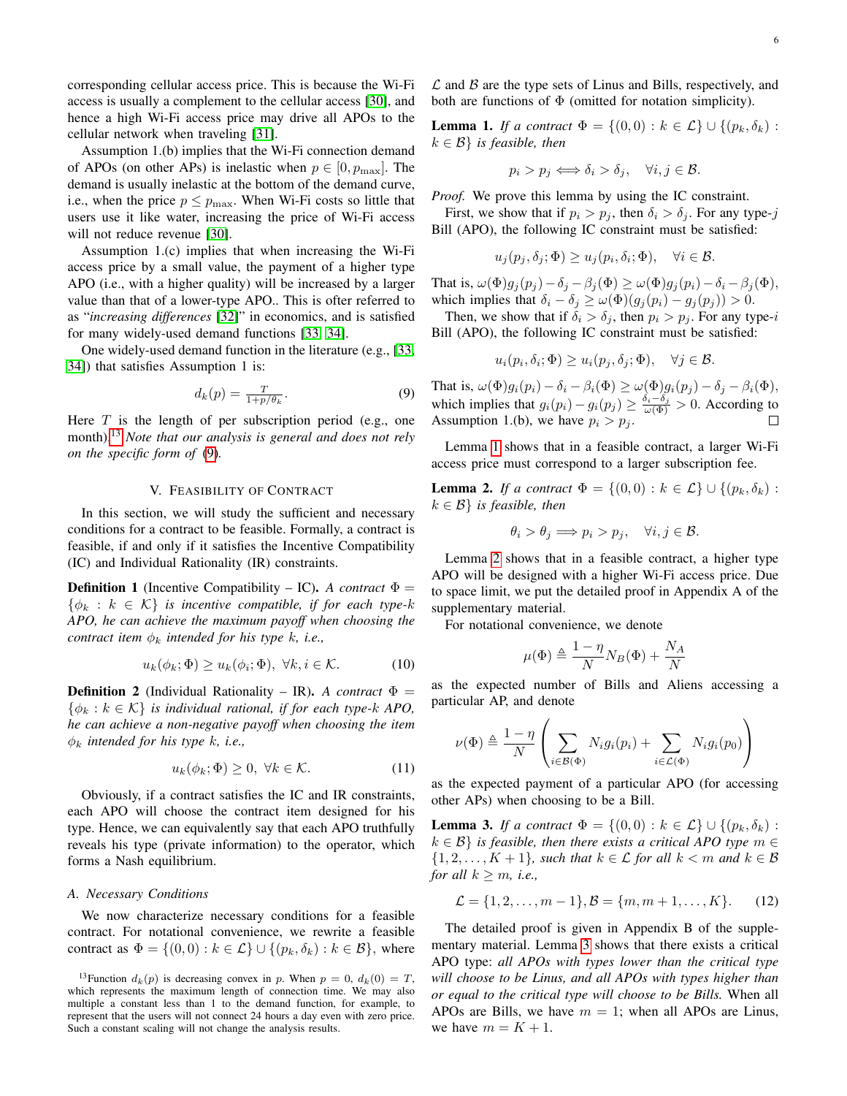corresponding cellular access price. This is because the Wi-Fi access is usually a complement to the cellular access [\[30\]](#page-13-27), and hence a high Wi-Fi access price may drive all APOs to the cellular network when traveling [\[31\]](#page-13-28).

Assumption 1.(b) implies that the Wi-Fi connection demand of APOs (on other APs) is inelastic when  $p \in [0, p_{\text{max}}]$ . The demand is usually inelastic at the bottom of the demand curve, i.e., when the price  $p \le p_{\text{max}}$ . When Wi-Fi costs so little that users use it like water, increasing the price of Wi-Fi access will not reduce revenue [\[30\]](#page-13-27).

Assumption 1.(c) implies that when increasing the Wi-Fi access price by a small value, the payment of a higher type APO (i.e., with a higher quality) will be increased by a larger value than that of a lower-type APO.. This is ofter referred to as "*increasing differences* [\[32\]](#page-13-29)" in economics, and is satisfied for many widely-used demand functions [\[33,](#page-13-30) [34\]](#page-13-31).

One widely-used demand function in the literature (e.g., [\[33,](#page-13-30) [34\]](#page-13-31)) that satisfies Assumption 1 is:

<span id="page-5-2"></span>
$$
d_k(p) = \frac{T}{1 + p/\theta_k}.\tag{9}
$$

Here  $T$  is the length of per subscription period (e.g., one month).[13](#page-5-1) *Note that our analysis is general and does not rely on the specific form of* [\(9\)](#page-5-2)*.*

# V. FEASIBILITY OF CONTRACT

<span id="page-5-0"></span>In this section, we will study the sufficient and necessary conditions for a contract to be feasible. Formally, a contract is feasible, if and only if it satisfies the Incentive Compatibility (IC) and Individual Rationality (IR) constraints.

**Definition 1** (Incentive Compatibility – IC). A contract  $\Phi$  =  $\{\phi_k : k \in \mathcal{K}\}\$ is incentive compatible, if for each type-k *APO, he can achieve the maximum payoff when choosing the contract item*  $\phi_k$  *intended for his type k, i.e.,* 

$$
u_k(\phi_k; \Phi) \ge u_k(\phi_i; \Phi), \ \forall k, i \in \mathcal{K}.
$$
 (10)

**Definition 2** (Individual Rationality – IR). *A contract*  $\Phi$  =  $\{\phi_k : k \in \mathcal{K}\}\$ is individual rational, if for each type-k APO, *he can achieve a non-negative payoff when choosing the item* φ<sup>k</sup> *intended for his type* k*, i.e.,*

$$
u_k(\phi_k; \Phi) \ge 0, \ \forall k \in \mathcal{K}.\tag{11}
$$

Obviously, if a contract satisfies the IC and IR constraints, each APO will choose the contract item designed for his type. Hence, we can equivalently say that each APO truthfully reveals his type (private information) to the operator, which forms a Nash equilibrium.

# *A. Necessary Conditions*

We now characterize necessary conditions for a feasible contract. For notational convenience, we rewrite a feasible contract as  $\Phi = \{(0,0): k \in \mathcal{L}\} \cup \{(p_k, \delta_k): k \in \mathcal{B}\}$ , where

 $\mathcal L$  and  $\mathcal B$  are the type sets of Linus and Bills, respectively, and both are functions of  $\Phi$  (omitted for notation simplicity).

<span id="page-5-3"></span>**Lemma 1.** *If a contract*  $\Phi = \{(0,0) : k \in \mathcal{L}\} \cup \{(p_k, \delta_k) :$ k ∈ B} *is feasible, then*

$$
p_i > p_j \Longleftrightarrow \delta_i > \delta_j, \quad \forall i, j \in \mathcal{B}.
$$

*Proof.* We prove this lemma by using the IC constraint.

First, we show that if  $p_i > p_j$ , then  $\delta_i > \delta_j$ . For any type-j Bill (APO), the following IC constraint must be satisfied:

$$
u_j(p_j, \delta_j; \Phi) \ge u_j(p_i, \delta_i; \Phi), \quad \forall i \in \mathcal{B}.
$$

That is,  $\omega(\Phi)g_j(p_j) - \delta_j - \beta_j(\Phi) \geq \omega(\Phi)g_j(p_i) - \delta_i - \beta_j(\Phi)$ , which implies that  $\delta_i - \delta_j \ge \omega(\Phi)(g_j(p_i) - g_j(p_j)) > 0$ .

Then, we show that if  $\delta_i > \delta_j$ , then  $p_i > p_j$ . For any type-i Bill (APO), the following IC constraint must be satisfied:

$$
u_i(p_i, \delta_i; \Phi) \ge u_i(p_j, \delta_j; \Phi), \quad \forall j \in \mathcal{B}.
$$

That is,  $\omega(\Phi)g_i(p_i) - \delta_i - \beta_i(\Phi) \geq \omega(\Phi)g_i(p_j) - \delta_j - \beta_i(\Phi)$ , which implies that  $g_i(p_i) - g_i(p_j) \ge \frac{\delta_i - \delta_j}{\omega(\Phi)} > 0$ . According to Assumption 1.(b), we have  $p_i > p_j$ .

Lemma [1](#page-5-3) shows that in a feasible contract, a larger Wi-Fi access price must correspond to a larger subscription fee.

<span id="page-5-4"></span>**Lemma 2.** *If a contract*  $\Phi = \{(0,0) : k \in \mathcal{L}\} \cup \{(p_k, \delta_k) :$  $k \in \mathcal{B}$ *} is feasible, then* 

$$
\theta_i > \theta_j \Longrightarrow p_i > p_j, \quad \forall i, j \in \mathcal{B}.
$$

Lemma [2](#page-5-4) shows that in a feasible contract, a higher type APO will be designed with a higher Wi-Fi access price. Due to space limit, we put the detailed proof in Appendix A of the supplementary material.

For notational convenience, we denote

$$
\mu(\Phi) \triangleq \frac{1 - \eta}{N} N_B(\Phi) + \frac{N_A}{N}
$$

as the expected number of Bills and Aliens accessing a particular AP, and denote

$$
\nu(\Phi) \triangleq \frac{1-\eta}{N} \left( \sum_{i \in \mathcal{B}(\Phi)} N_i g_i(p_i) + \sum_{i \in \mathcal{L}(\Phi)} N_i g_i(p_0) \right)
$$

as the expected payment of a particular APO (for accessing other APs) when choosing to be a Bill.

<span id="page-5-5"></span>**Lemma 3.** *If a contract*  $\Phi = \{(0,0) : k \in \mathcal{L}\} \cup \{(p_k, \delta_k) :$  $k \in \mathcal{B}$  *is feasible, then there exists a critical APO type*  $m \in$  $\{1, 2, \ldots, K + 1\}$ *, such that*  $k \in \mathcal{L}$  *for all*  $k < m$  *and*  $k \in \mathcal{B}$ *for all*  $k \geq m$ *, i.e.,* 

$$
\mathcal{L} = \{1, 2, \dots, m - 1\}, \mathcal{B} = \{m, m + 1, \dots, K\}.
$$
 (12)

The detailed proof is given in Appendix B of the supplementary material. Lemma [3](#page-5-5) shows that there exists a critical APO type: *all APOs with types lower than the critical type will choose to be Linus, and all APOs with types higher than or equal to the critical type will choose to be Bills.* When all APOs are Bills, we have  $m = 1$ ; when all APOs are Linus, we have  $m = K + 1$ .

<span id="page-5-1"></span><sup>&</sup>lt;sup>13</sup>Function  $d_k(p)$  is decreasing convex in p. When  $p = 0$ ,  $d_k(0) = T$ , which represents the maximum length of connection time. We may also multiple a constant less than 1 to the demand function, for example, to represent that the users will not connect 24 hours a day even with zero price. Such a constant scaling will not change the analysis results.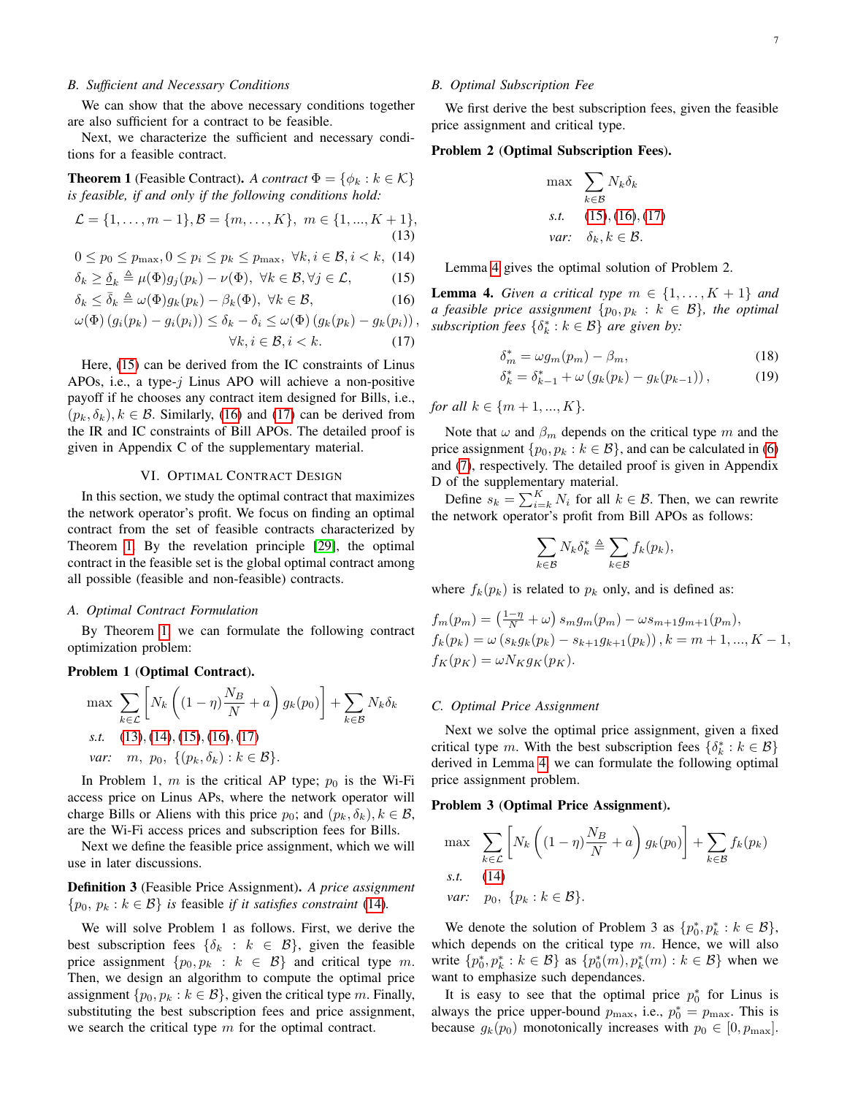### *B. Sufficient and Necessary Conditions*

We can show that the above necessary conditions together are also sufficient for a contract to be feasible.

Next, we characterize the sufficient and necessary conditions for a feasible contract.

<span id="page-6-4"></span>**Theorem 1** (Feasible Contract). *A contract*  $\Phi = {\phi_k : k \in \mathcal{K}}$ *is feasible, if and only if the following conditions hold:*

$$
\mathcal{L} = \{1, \dots, m-1\}, \mathcal{B} = \{m, \dots, K\}, \ m \in \{1, \dots, K+1\},\tag{13}
$$

$$
0 \le p_0 \le p_{\max}, 0 \le p_i \le p_k \le p_{\max}, \ \forall k, i \in \mathcal{B}, i < k, \ (14)
$$

$$
\delta_k \ge \underline{\delta}_k \triangleq \mu(\Phi)g_j(p_k) - \nu(\Phi), \ \forall k \in \mathcal{B}, \forall j \in \mathcal{L}, \tag{15}
$$

$$
\delta_k \le \bar{\delta}_k \triangleq \omega(\Phi) g_k(p_k) - \beta_k(\Phi), \ \forall k \in \mathcal{B},\tag{16}
$$

$$
\omega(\Phi) (g_i(p_k) - g_i(p_i)) \leq \delta_k - \delta_i \leq \omega(\Phi) (g_k(p_k) - g_k(p_i)),
$$
  

$$
\forall k, i \in \mathcal{B}, i < k. \tag{17}
$$

Here, [\(15\)](#page-6-1) can be derived from the IC constraints of Linus APOs, i.e., a type- $j$  Linus APO will achieve a non-positive payoff if he chooses any contract item designed for Bills, i.e.,  $(p_k, \delta_k)$ ,  $k \in \mathcal{B}$ . Similarly, [\(16\)](#page-6-2) and [\(17\)](#page-6-3) can be derived from the IR and IC constraints of Bill APOs. The detailed proof is given in Appendix C of the supplementary material.

#### VI. OPTIMAL CONTRACT DESIGN

<span id="page-6-0"></span>In this section, we study the optimal contract that maximizes the network operator's profit. We focus on finding an optimal contract from the set of feasible contracts characterized by Theorem [1.](#page-6-4) By the revelation principle [\[29\]](#page-13-26), the optimal contract in the feasible set is the global optimal contract among all possible (feasible and non-feasible) contracts.

#### *A. Optimal Contract Formulation*

By Theorem [1,](#page-6-4) we can formulate the following contract optimization problem:

#### Problem 1 (Optimal Contract).

$$
\max \sum_{k \in \mathcal{L}} \left[ N_k \left( (1 - \eta) \frac{N_B}{N} + a \right) g_k(p_0) \right] + \sum_{k \in \mathcal{B}} N_k \delta_k
$$
  
s.t. (13), (14), (15), (16), (17)  
var: m, p\_0, {(p\_k, \delta\_k) : k \in \mathcal{B}}.

In Problem 1, m is the critical AP type;  $p_0$  is the Wi-Fi access price on Linus APs, where the network operator will charge Bills or Aliens with this price  $p_0$ ; and  $(p_k, \delta_k)$ ,  $k \in \mathcal{B}$ , are the Wi-Fi access prices and subscription fees for Bills.

Next we define the feasible price assignment, which we will use in later discussions.

Definition 3 (Feasible Price Assignment). *A price assignment*  $\{p_0, p_k : k \in \mathcal{B}\}\$ is feasible *if it satisfies constraint* [\(14\)](#page-6-6).

We will solve Problem 1 as follows. First, we derive the best subscription fees  $\{\delta_k : k \in \mathcal{B}\}\$ , given the feasible price assignment  $\{p_0, p_k : k \in \mathcal{B}\}\$  and critical type m. Then, we design an algorithm to compute the optimal price assignment  $\{p_0, p_k : k \in \mathcal{B}\}$ , given the critical type m. Finally, substituting the best subscription fees and price assignment, we search the critical type  $m$  for the optimal contract.

#### <span id="page-6-8"></span>*B. Optimal Subscription Fee*

We first derive the best subscription fees, given the feasible price assignment and critical type.

#### Problem 2 (Optimal Subscription Fees).

$$
\max \sum_{k \in \mathcal{B}} N_k \delta_k
$$
  
s.t. (15), (16), (17)  
var:  $\delta_k, k \in \mathcal{B}$ .

<span id="page-6-6"></span><span id="page-6-5"></span>Lemma [4](#page-6-7) gives the optimal solution of Problem 2.

<span id="page-6-7"></span><span id="page-6-3"></span><span id="page-6-2"></span><span id="page-6-1"></span>**Lemma 4.** *Given a critical type*  $m \in \{1, \ldots, K + 1\}$  *and a* feasible price assignment  $\{p_0, p_k : k \in \mathcal{B}\}$ , the optimal *subscription fees*  $\{\delta_k^* : k \in \mathcal{B}\}$  *are given by:* 

<span id="page-6-10"></span>
$$
\delta_m^* = \omega g_m(p_m) - \beta_m,\tag{18}
$$

<span id="page-6-11"></span>
$$
\delta_k^* = \delta_{k-1}^* + \omega (g_k(p_k) - g_k(p_{k-1})), \qquad (19)
$$

*for all*  $k \in \{m+1, ..., K\}$ .

Note that  $\omega$  and  $\beta_m$  depends on the critical type m and the price assignment  $\{p_0, p_k : k \in \mathcal{B}\}$ , and can be calculated in [\(6\)](#page-4-4) and [\(7\)](#page-4-5), respectively. The detailed proof is given in Appendix D of the supplementary material.

Define  $s_k = \sum_{i=k}^{K} N_i$  for all  $k \in \mathcal{B}$ . Then, we can rewrite the network operator's profit from Bill APOs as follows:

$$
\sum_{k \in \mathcal{B}} N_k \delta_k^* \triangleq \sum_{k \in \mathcal{B}} f_k(p_k),
$$

where  $f_k(p_k)$  is related to  $p_k$  only, and is defined as:

$$
f_m(p_m) = \left(\frac{1-\eta}{N} + \omega\right) s_m g_m(p_m) - \omega s_{m+1} g_{m+1}(p_m),
$$
  
\n
$$
f_k(p_k) = \omega \left(s_k g_k(p_k) - s_{k+1} g_{k+1}(p_k)\right), k = m+1, ..., K-1,
$$
  
\n
$$
f_K(p_K) = \omega N_K g_K(p_K).
$$

#### <span id="page-6-9"></span>*C. Optimal Price Assignment*

Next we solve the optimal price assignment, given a fixed critical type m. With the best subscription fees  $\{\delta_k^* : k \in \mathcal{B}\}\$ derived in Lemma [4,](#page-6-7) we can formulate the following optimal price assignment problem.

#### Problem 3 (Optimal Price Assignment).

$$
\max_{k \in \mathcal{L}} \left[ N_k \left( (1 - \eta) \frac{N_B}{N} + a \right) g_k(p_0) \right] + \sum_{k \in \mathcal{B}} f_k(p_k)
$$
  
s.t. (14)  
var:  $p_0, \{p_k : k \in \mathcal{B}\}.$ 

We denote the solution of Problem 3 as  $\{p_0^*, p_k^* : k \in \mathcal{B}\},\$ which depends on the critical type  $m$ . Hence, we will also write  $\{p_0^*, p_k^* : k \in \mathcal{B}\}\$  as  $\{p_0^*(m), p_k^*(m) : k \in \mathcal{B}\}\$  when we want to emphasize such dependances.

It is easy to see that the optimal price  $p_0^*$  for Linus is always the price upper-bound  $p_{\text{max}}$ , i.e.,  $p_0^* = p_{\text{max}}$ . This is because  $g_k(p_0)$  monotonically increases with  $p_0 \in [0, p_{\text{max}}]$ .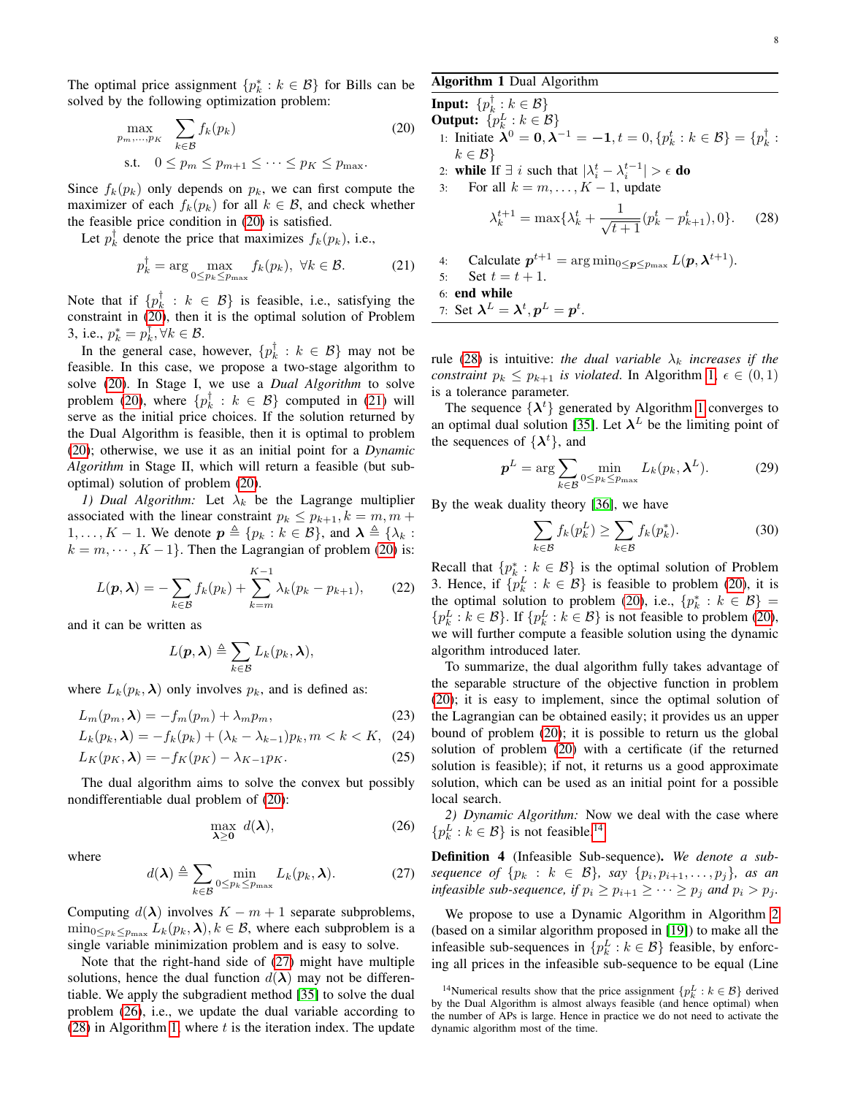The optimal price assignment  $\{p_k^* : k \in \mathcal{B}\}\$  for Bills can be solved by the following optimization problem:

$$
\max_{p_m,...,p_K} \sum_{k \in \mathcal{B}} f_k(p_k) \tag{20}
$$
  
s.t.  $0 \le p_m \le p_{m+1} \le \cdots \le p_K \le p_{\text{max}}.$ 

Since  $f_k(p_k)$  only depends on  $p_k$ , we can first compute the maximizer of each  $f_k(p_k)$  for all  $k \in \mathcal{B}$ , and check whether the feasible price condition in [\(20\)](#page-7-0) is satisfied.

Let  $p_k^{\dagger}$  denote the price that maximizes  $f_k(p_k)$ , i.e.,

<span id="page-7-1"></span>
$$
p_k^{\dagger} = \arg\max_{0 \le p_k \le p_{\text{max}}} f_k(p_k), \ \forall k \in \mathcal{B}.\tag{21}
$$

Note that if  $\{p_k^{\dagger} : k \in \mathcal{B}\}\$  is feasible, i.e., satisfying the constraint in [\(20\)](#page-7-0), then it is the optimal solution of Problem 3, i.e.,  $p_k^* = p_k^{\dagger}, \forall k \in \mathcal{B}$ .

In the general case, however,  $\{p_k^{\dagger}: k \in \mathcal{B}\}\$  may not be feasible. In this case, we propose a two-stage algorithm to solve [\(20\)](#page-7-0). In Stage I, we use a *Dual Algorithm* to solve problem [\(20\)](#page-7-0), where  $\{p_k^{\dagger} : k \in \mathcal{B}\}\)$  computed in [\(21\)](#page-7-1) will serve as the initial price choices. If the solution returned by the Dual Algorithm is feasible, then it is optimal to problem [\(20\)](#page-7-0); otherwise, we use it as an initial point for a *Dynamic Algorithm* in Stage II, which will return a feasible (but suboptimal) solution of problem [\(20\)](#page-7-0).

*1) Dual Algorithm:* Let  $\lambda_k$  be the Lagrange multiplier associated with the linear constraint  $p_k \leq p_{k+1}, k = m, m + 1$  $1, \ldots, K - 1$ . We denote  $p \triangleq \{p_k : k \in \mathcal{B}\}\)$ , and  $\lambda \triangleq \{\lambda_k : k \in \mathcal{B}\}\$  $k = m, \dots, K - 1$ . Then the Lagrangian of problem [\(20\)](#page-7-0) is:

$$
L(p,\lambda) = -\sum_{k \in \mathcal{B}} f_k(p_k) + \sum_{k=m}^{K-1} \lambda_k(p_k - p_{k+1}),
$$
 (22)

and it can be written as

$$
L(\boldsymbol{p},\boldsymbol{\lambda})\triangleq \sum_{k\in\mathcal{B}}L_k(p_k,\boldsymbol{\lambda}),
$$

where  $L_k(p_k, \lambda)$  only involves  $p_k$ , and is defined as:

$$
L_m(p_m, \lambda) = -f_m(p_m) + \lambda_m p_m,
$$
\n(23)

$$
L_k(p_k, \lambda) = -f_k(p_k) + (\lambda_k - \lambda_{k-1})p_k, m < k < K, \tag{24}
$$

$$
L_K(p_K, \lambda) = -f_K(p_K) - \lambda_{K-1}p_K. \tag{25}
$$

The dual algorithm aims to solve the convex but possibly nondifferentiable dual problem of [\(20\)](#page-7-0):

<span id="page-7-3"></span>
$$
\max_{\lambda \ge 0} d(\lambda), \tag{26}
$$

where

<span id="page-7-2"></span>
$$
d(\boldsymbol{\lambda}) \triangleq \sum_{k \in \mathcal{B}} \min_{0 \le p_k \le p_{\text{max}}} L_k(p_k, \boldsymbol{\lambda}).
$$
 (27)

Computing  $d(\lambda)$  involves  $K - m + 1$  separate subproblems,  $\min_{0 \leq p_k \leq p_{\text{max}}} L_k(p_k, \lambda), k \in \mathcal{B}$ , where each subproblem is a single variable minimization problem and is easy to solve.

Note that the right-hand side of [\(27\)](#page-7-2) might have multiple solutions, hence the dual function  $d(\lambda)$  may not be differentiable. We apply the subgradient method [\[35\]](#page-13-32) to solve the dual problem [\(26\)](#page-7-3), i.e., we update the dual variable according to [\(28\)](#page-7-4) in Algorithm [1,](#page-7-5) where  $t$  is the iteration index. The update

# <span id="page-7-5"></span>Algorithm 1 Dual Algorithm

<span id="page-7-0"></span>**Input:**  $\{p_k^{\dagger}: k \in \mathcal{B}\}$ **Output:**  $\{p_k^L : k \in \mathcal{B}\}\)$ 1: Initiate  $\mathbf{\tilde{\lambda}}^0 = \mathbf{0}, \mathbf{\tilde{\lambda}}^{-1} = -\mathbf{1}, t = 0, \{p_k^t : k \in \mathcal{B}\} = \{p_k^{\dagger} : k \in \mathcal{B}\}$  $k \in \mathcal{B}$ 

2: while If 
$$
\exists i
$$
 such that  $|\lambda_i^t - \lambda_i^{t-1}| > \epsilon$  do

3: For all 
$$
k = m, \ldots, K - 1
$$
, update

<span id="page-7-4"></span>
$$
\lambda_k^{t+1} = \max\{\lambda_k^t + \frac{1}{\sqrt{t+1}}(p_k^t - p_{k+1}^t), 0\}.
$$
 (28)

\n- 4: Calculate 
$$
p^{t+1} = \arg \min_{0 \leq p \leq p_{\max}} L(p, \lambda^{t+1}).
$$
\n- 5: Set  $t = t + 1$ .
\n- 6: **end while**
\n- 7: Set  $\lambda^L = \lambda^t$ ,  $p^L = p^t$ .
\n

rule [\(28\)](#page-7-4) is intuitive: *the dual variable*  $\lambda_k$  *increases if the constraint*  $p_k \leq p_{k+1}$  *is violated*. In Algorithm [1,](#page-7-5)  $\epsilon \in (0,1)$ is a tolerance parameter.

The sequence  $\{\lambda^t\}$  generated by Algorithm [1](#page-7-5) converges to an optimal dual solution [\[35\]](#page-13-32). Let  $\lambda^L$  be the limiting point of the sequences of  $\{\lambda^t\}$ , and

$$
\boldsymbol{p}^L = \arg \sum_{k \in \mathcal{B}} \min_{0 \le p_k \le p_{\text{max}}} L_k(p_k, \boldsymbol{\lambda}^L). \tag{29}
$$

By the weak duality theory [\[36\]](#page-13-33), we have

$$
\sum_{k \in \mathcal{B}} f_k(p_k^L) \ge \sum_{k \in \mathcal{B}} f_k(p_k^*). \tag{30}
$$

Recall that  $\{p_k^* : k \in \mathcal{B}\}\$  is the optimal solution of Problem 3. Hence, if  $\{p_k^L : k \in \mathcal{B}\}\$ is feasible to problem [\(20\)](#page-7-0), it is the optimal solution to problem [\(20\)](#page-7-0), i.e.,  $\{p_k^* : k \in \mathcal{B}\}$  $\{p_k^L : k \in \mathcal{B}\}\$ . If  $\{p_k^L : k \in \mathcal{B}\}\$  is not feasible to problem [\(20\)](#page-7-0), we will further compute a feasible solution using the dynamic algorithm introduced later.

To summarize, the dual algorithm fully takes advantage of the separable structure of the objective function in problem [\(20\)](#page-7-0); it is easy to implement, since the optimal solution of the Lagrangian can be obtained easily; it provides us an upper bound of problem [\(20\)](#page-7-0); it is possible to return us the global solution of problem [\(20\)](#page-7-0) with a certificate (if the returned solution is feasible); if not, it returns us a good approximate solution, which can be used as an initial point for a possible local search.

*2) Dynamic Algorithm:* Now we deal with the case where  $\{p_k^L : k \in \mathcal{B}\}\$ is not feasible.<sup>[14](#page-7-6)</sup>

Definition 4 (Infeasible Sub-sequence). *We denote a subsequence of*  $\{p_k : k \in \mathcal{B}\}\$ , say  $\{p_i, p_{i+1}, \ldots, p_j\}$ , as an *infeasible sub-sequence, if*  $p_i \geq p_{i+1} \geq \cdots \geq p_j$  *and*  $p_i > p_j$ *.* 

We propose to use a Dynamic Algorithm in Algorithm [2](#page-8-1) (based on a similar algorithm proposed in [\[19\]](#page-13-12)) to make all the infeasible sub-sequences in  $\{p_k^L : k \in \mathcal{B}\}\$  feasible, by enforcing all prices in the infeasible sub-sequence to be equal (Line

<span id="page-7-6"></span><sup>&</sup>lt;sup>14</sup>Numerical results show that the price assignment  $\{p_k^L : k \in \mathcal{B}\}\$  derived by the Dual Algorithm is almost always feasible (and hence optimal) when the number of APs is large. Hence in practice we do not need to activate the dynamic algorithm most of the time.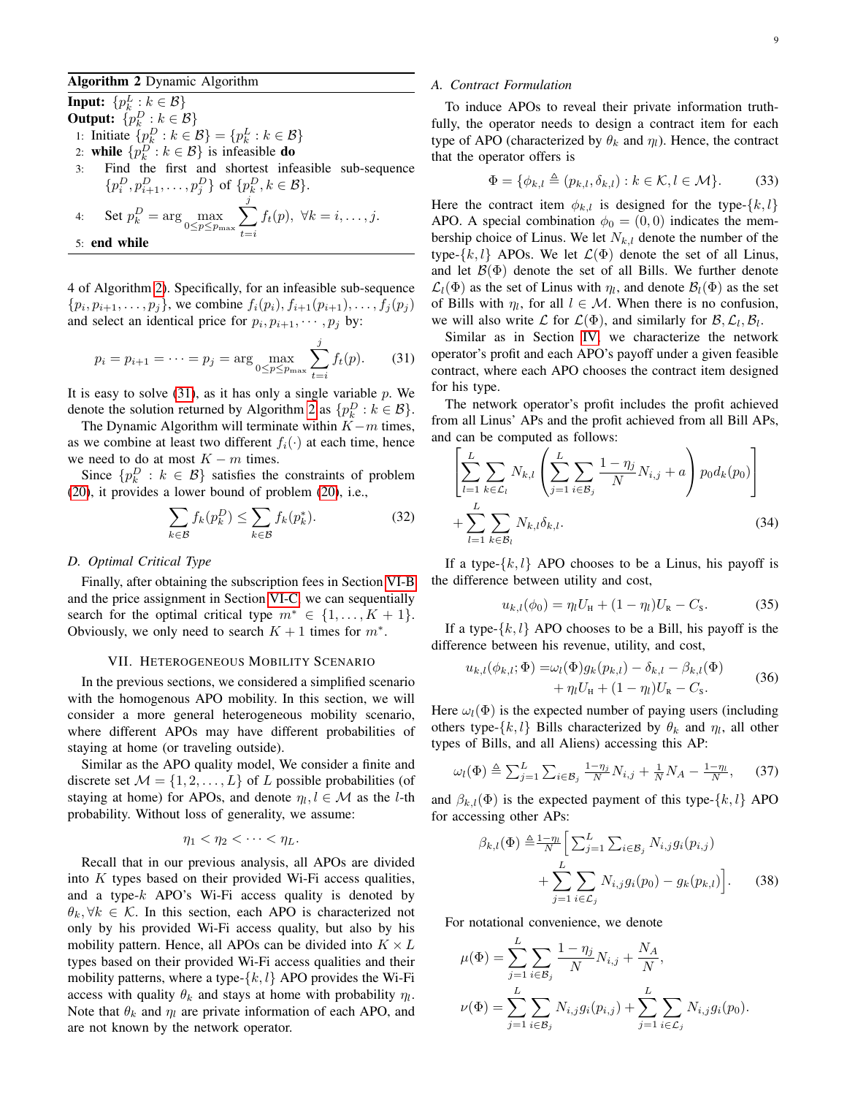# <span id="page-8-1"></span>Algorithm 2 Dynamic Algorithm

**Input:**  $\{p_k^L : k \in \mathcal{B}\}\$ **Output:**  $\{p_k^D : k \in \mathcal{B}\}\)$ 1: Initiate  $\{p_k^D : k \in \mathcal{B}\} = \{p_k^L : k \in \mathcal{B}\}\$ 2: while  $\{p_k^D : k \in \mathcal{B}\}\$ is infeasible do

3: Find the first and shortest infeasible sub-sequence  $\{p_i^D, p_{i+1}^D, \ldots, p_j^D\}$  of  $\{p_k^D, k \in \mathcal{B}\}.$ 

4: Set 
$$
p_k^D = \arg \max_{0 \le p \le p_{\text{max}}} \sum_{t=i}^j f_t(p), \ \forall k = i, \dots, j.
$$

5: end while

4 of Algorithm [2\)](#page-8-1). Specifically, for an infeasible sub-sequence  $\{p_i, p_{i+1}, \ldots, p_j\}$ , we combine  $f_i(p_i), f_{i+1}(p_{i+1}), \ldots, f_j(p_j)$ and select an identical price for  $p_i, p_{i+1}, \cdots, p_j$  by:

<span id="page-8-2"></span>
$$
p_i = p_{i+1} = \dots = p_j = \arg\max_{0 \le p \le p_{\text{max}}} \sum_{t=i}^{j} f_t(p). \tag{31}
$$

It is easy to solve  $(31)$ , as it has only a single variable p. We denote the solution returned by Algorithm [2](#page-8-1) as  $\{p_k^D : k \in \mathcal{B}\}.$ 

The Dynamic Algorithm will terminate within  $K-m$  times, as we combine at least two different  $f_i(\cdot)$  at each time, hence we need to do at most  $K - m$  times.

Since  $\{p_k^D : k \in \mathcal{B}\}\$  satisfies the constraints of problem [\(20\)](#page-7-0), it provides a lower bound of problem [\(20\)](#page-7-0), i.e.,

$$
\sum_{k \in \mathcal{B}} f_k(p_k^D) \le \sum_{k \in \mathcal{B}} f_k(p_k^*).
$$
 (32)

#### *D. Optimal Critical Type*

Finally, after obtaining the subscription fees in Section [VI-B](#page-6-8) and the price assignment in Section [VI-C,](#page-6-9) we can sequentially search for the optimal critical type  $m^* \in \{1, \ldots, K + 1\}.$ Obviously, we only need to search  $K + 1$  times for  $m^*$ .

# VII. HETEROGENEOUS MOBILITY SCENARIO

<span id="page-8-0"></span>In the previous sections, we considered a simplified scenario with the homogenous APO mobility. In this section, we will consider a more general heterogeneous mobility scenario, where different APOs may have different probabilities of staying at home (or traveling outside).

Similar as the APO quality model, We consider a finite and discrete set  $\mathcal{M} = \{1, 2, ..., L\}$  of L possible probabilities (of staying at home) for APOs, and denote  $\eta_l, l \in \mathcal{M}$  as the *l*-th probability. Without loss of generality, we assume:

$$
\eta_1 < \eta_2 < \cdots < \eta_L.
$$

Recall that in our previous analysis, all APOs are divided into  $K$  types based on their provided Wi-Fi access qualities, and a type- $k$  APO's Wi-Fi access quality is denoted by  $\theta_k, \forall k \in \mathcal{K}$ . In this section, each APO is characterized not only by his provided Wi-Fi access quality, but also by his mobility pattern. Hence, all APOs can be divided into  $K \times L$ types based on their provided Wi-Fi access qualities and their mobility patterns, where a type- $\{k, l\}$  APO provides the Wi-Fi access with quality  $\theta_k$  and stays at home with probability  $\eta_l$ . Note that  $\theta_k$  and  $\eta_l$  are private information of each APO, and are not known by the network operator.

# *A. Contract Formulation*

To induce APOs to reveal their private information truthfully, the operator needs to design a contract item for each type of APO (characterized by  $\theta_k$  and  $\eta_l$ ). Hence, the contract that the operator offers is

$$
\Phi = \{ \phi_{k,l} \triangleq (p_{k,l}, \delta_{k,l}) : k \in \mathcal{K}, l \in \mathcal{M} \}.
$$
 (33)

Here the contract item  $\phi_{k,l}$  is designed for the type- $\{k,l\}$ APO. A special combination  $\phi_0 = (0, 0)$  indicates the membership choice of Linus. We let  $N_{k,l}$  denote the number of the type- $\{k, l\}$  APOs. We let  $\mathcal{L}(\Phi)$  denote the set of all Linus, and let  $\mathcal{B}(\Phi)$  denote the set of all Bills. We further denote  $\mathcal{L}_l(\Phi)$  as the set of Linus with  $\eta_l$ , and denote  $\mathcal{B}_l(\Phi)$  as the set of Bills with  $\eta_l$ , for all  $l \in \mathcal{M}$ . When there is no confusion, we will also write  $\mathcal L$  for  $\mathcal L(\Phi)$ , and similarly for  $\mathcal B, \mathcal L_l, \mathcal B_l$ .

Similar as in Section [IV,](#page-3-0) we characterize the network operator's profit and each APO's payoff under a given feasible contract, where each APO chooses the contract item designed for his type.

The network operator's profit includes the profit achieved from all Linus' APs and the profit achieved from all Bill APs, and can be computed as follows:

$$
\left[\sum_{l=1}^{L} \sum_{k \in \mathcal{L}_l} N_{k,l} \left( \sum_{j=1}^{L} \sum_{i \in \mathcal{B}_j} \frac{1 - \eta_j}{N} N_{i,j} + a \right) p_0 d_k(p_0) \right] + \sum_{l=1}^{L} \sum_{k \in \mathcal{B}_l} N_{k,l} \delta_{k,l}.
$$
\n(34)

If a type- $\{k, l\}$  APO chooses to be a Linus, his payoff is the difference between utility and cost,

<span id="page-8-3"></span>
$$
u_{k,l}(\phi_0) = \eta_l U_{\rm H} + (1 - \eta_l) U_{\rm R} - C_{\rm s}.
$$
 (35)

If a type- $\{k, l\}$  APO chooses to be a Bill, his payoff is the difference between his revenue, utility, and cost,

$$
u_{k,l}(\phi_{k,l};\Phi) = \omega_l(\Phi)g_k(p_{k,l}) - \delta_{k,l} - \beta_{k,l}(\Phi) + \eta_l U_{\rm H} + (1 - \eta_l)U_{\rm R} - C_{\rm S}.
$$
 (36)

Here  $\omega_l(\Phi)$  is the expected number of paying users (including others type- $\{k, l\}$  Bills characterized by  $\theta_k$  and  $\eta_l$ , all other types of Bills, and all Aliens) accessing this AP:

<span id="page-8-4"></span>
$$
\omega_l(\Phi) \triangleq \sum_{j=1}^L \sum_{i \in \mathcal{B}_j} \frac{1 - \eta_j}{N} N_{i,j} + \frac{1}{N} N_A - \frac{1 - \eta_l}{N}, \qquad (37)
$$

and  $\beta_{k,l}(\Phi)$  is the expected payment of this type- $\{k,l\}$  APO for accessing other APs:

<span id="page-8-5"></span>
$$
\beta_{k,l}(\Phi) \triangleq \frac{1-\eta_l}{N} \Big[ \sum_{j=1}^L \sum_{i \in \mathcal{B}_j} N_{i,j} g_i(p_{i,j}) + \sum_{j=1}^L \sum_{i \in \mathcal{L}_j} N_{i,j} g_i(p_0) - g_k(p_{k,l}) \Big].
$$
 (38)

For notational convenience, we denote

$$
\mu(\Phi) = \sum_{j=1}^{L} \sum_{i \in B_j} \frac{1 - \eta_j}{N} N_{i,j} + \frac{N_A}{N},
$$
  

$$
\nu(\Phi) = \sum_{j=1}^{L} \sum_{i \in B_j} N_{i,j} g_i(p_{i,j}) + \sum_{j=1}^{L} \sum_{i \in \mathcal{L}_j} N_{i,j} g_i(p_0).
$$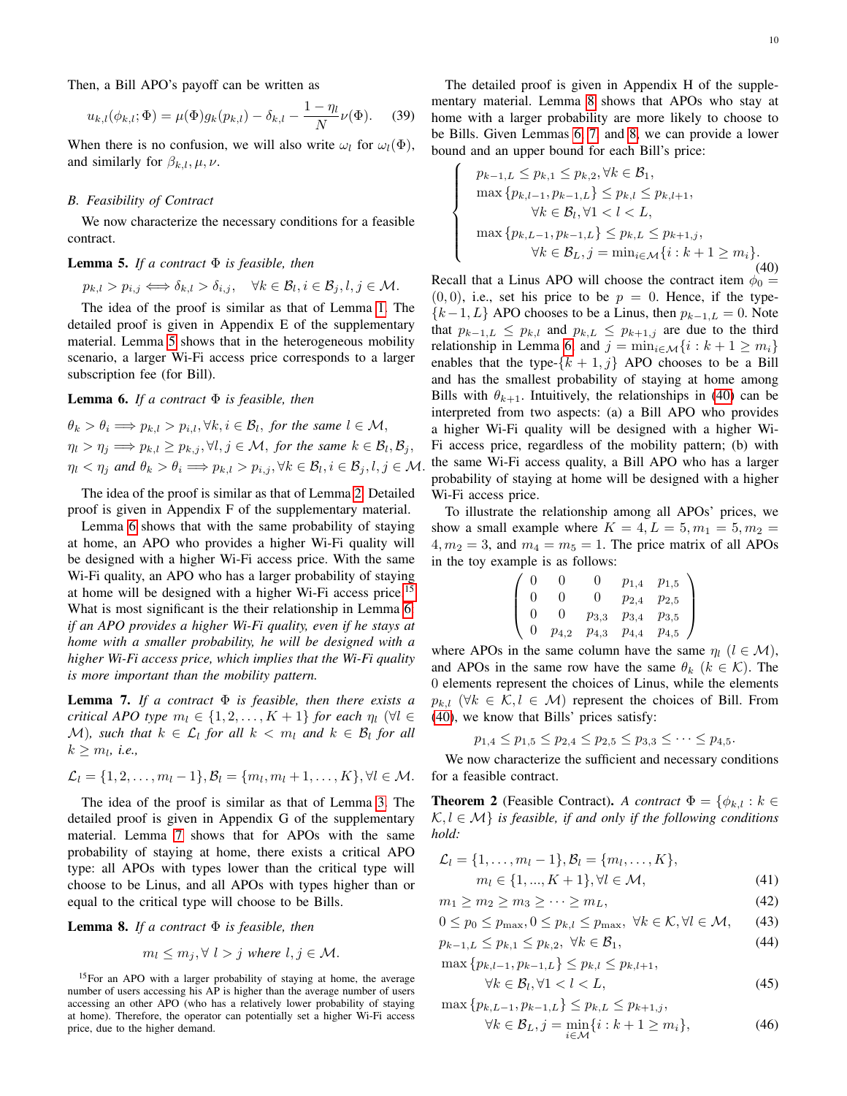Then, a Bill APO's payoff can be written as

$$
u_{k,l}(\phi_{k,l};\Phi) = \mu(\Phi)g_k(p_{k,l}) - \delta_{k,l} - \frac{1-\eta_l}{N}\nu(\Phi). \tag{39}
$$

When there is no confusion, we will also write  $\omega_l$  for  $\omega_l(\Phi)$ , and similarly for  $\beta_{k,l}, \mu, \nu$ .

#### *B. Feasibility of Contract*

We now characterize the necessary conditions for a feasible contract.

# <span id="page-9-0"></span>Lemma 5. *If a contract* Φ *is feasible, then*

 $p_{k,l} > p_{i,j} \Longleftrightarrow \delta_{k,l} > \delta_{i,j}, \quad \forall k \in \mathcal{B}_l, i \in \mathcal{B}_j, l, j \in \mathcal{M}.$ 

The idea of the proof is similar as that of Lemma [1.](#page-5-3) The detailed proof is given in Appendix E of the supplementary material. Lemma [5](#page-9-0) shows that in the heterogeneous mobility scenario, a larger Wi-Fi access price corresponds to a larger subscription fee (for Bill).

# <span id="page-9-1"></span>Lemma 6. *If a contract* Φ *is feasible, then*

$$
\theta_k > \theta_i \Longrightarrow p_{k,l} > p_{i,l}, \forall k, i \in \mathcal{B}_l, \text{ for the same } l \in \mathcal{M},
$$
\n
$$
\eta_l > \eta_j \Longrightarrow p_{k,l} \geq p_{k,j}, \forall l, j \in \mathcal{M}, \text{ for the same } k \in \mathcal{B}_l, \mathcal{B}_j,
$$
\n
$$
\eta_l < \eta_j \text{ and } \theta_k > \theta_i \Longrightarrow p_{k,l} > p_{i,j}, \forall k \in \mathcal{B}_l, i \in \mathcal{B}_j, l, j \in \mathcal{M}.
$$

The idea of the proof is similar as that of Lemma [2.](#page-5-4) Detailed proof is given in Appendix F of the supplementary material.

Lemma [6](#page-9-1) shows that with the same probability of staying at home, an APO who provides a higher Wi-Fi quality will be designed with a higher Wi-Fi access price. With the same Wi-Fi quality, an APO who has a larger probability of staying at home will be designed with a higher Wi-Fi access price.<sup>[15](#page-9-2)</sup> What is most significant is the their relationship in Lemma [6:](#page-9-1) *if an APO provides a higher Wi-Fi quality, even if he stays at home with a smaller probability, he will be designed with a higher Wi-Fi access price, which implies that the Wi-Fi quality is more important than the mobility pattern.*

<span id="page-9-3"></span>Lemma 7. *If a contract* Φ *is feasible, then there exists a critical APO type*  $m_l \in \{1, 2, \ldots, K + 1\}$  *for each*  $\eta_l$  (∀l ∈  $(M)$ , such that  $k \in \mathcal{L}_l$  for all  $k < m_l$  and  $k \in \mathcal{B}_l$  for all  $k \geq m_l$ , *i.e.*,

$$
\mathcal{L}_l = \{1, 2, \ldots, m_l - 1\}, \mathcal{B}_l = \{m_l, m_l + 1, \ldots, K\}, \forall l \in \mathcal{M}.
$$

The idea of the proof is similar as that of Lemma [3.](#page-5-5) The detailed proof is given in Appendix G of the supplementary material. Lemma [7](#page-9-3) shows that for APOs with the same probability of staying at home, there exists a critical APO type: all APOs with types lower than the critical type will choose to be Linus, and all APOs with types higher than or equal to the critical type will choose to be Bills.

<span id="page-9-4"></span>Lemma 8. *If a contract* Φ *is feasible, then*

$$
m_l \leq m_j, \forall l > j \text{ where } l, j \in \mathcal{M}.
$$

<span id="page-9-2"></span><sup>15</sup>For an APO with a larger probability of staying at home, the average number of users accessing his AP is higher than the average number of users accessing an other APO (who has a relatively lower probability of staying at home). Therefore, the operator can potentially set a higher Wi-Fi access price, due to the higher demand.

The detailed proof is given in Appendix H of the supplementary material. Lemma [8](#page-9-4) shows that APOs who stay at home with a larger probability are more likely to choose to be Bills. Given Lemmas [6,](#page-9-1) [7,](#page-9-3) and [8,](#page-9-4) we can provide a lower bound and an upper bound for each Bill's price:

 $\epsilon$ 

<span id="page-9-5"></span>
$$
\begin{cases}\n p_{k-1,L} \leq p_{k,1} \leq p_{k,2}, \forall k \in \mathcal{B}_1, \\
 \max \{ p_{k,l-1}, p_{k-1,L} \} \leq p_{k,l} \leq p_{k,l+1}, \\
 \forall k \in \mathcal{B}_l, \forall 1 < l < L, \\
 \max \{ p_{k,L-1}, p_{k-1,L} \} \leq p_{k,L} \leq p_{k+1,j}, \\
 \forall k \in \mathcal{B}_L, j = \min_{i \in \mathcal{M}} \{ i : k+1 \geq m_i \}.\n\end{cases}
$$
\n(40)

Recall that a Linus APO will choose the contract item  $\phi_0 =$  $(0, 0)$ , i.e., set his price to be  $p = 0$ . Hence, if the type- ${k-1, L}$  APO chooses to be a Linus, then  $p_{k-1,L} = 0$ . Note that  $p_{k-1,L} \leq p_{k,l}$  and  $p_{k,L} \leq p_{k+1,j}$  are due to the third relationship in Lemma [6,](#page-9-1) and  $j = \min_{i \in \mathcal{M}} \{i : k + 1 \geq m_i\}$ enables that the type- ${k+1,j}$  APO chooses to be a Bill and has the smallest probability of staying at home among Bills with  $\theta_{k+1}$ . Intuitively, the relationships in [\(40\)](#page-9-5) can be interpreted from two aspects: (a) a Bill APO who provides a higher Wi-Fi quality will be designed with a higher Wi-Fi access price, regardless of the mobility pattern; (b) with the same Wi-Fi access quality, a Bill APO who has a larger probability of staying at home will be designed with a higher Wi-Fi access price.

To illustrate the relationship among all APOs' prices, we show a small example where  $K = 4, L = 5, m_1 = 5, m_2 =$  $4, m_2 = 3$ , and  $m_4 = m_5 = 1$ . The price matrix of all APOs in the toy example is as follows:

$$
\left(\begin{array}{cccc} 0 & 0 & 0 & p_{1,4} & p_{1,5} \\ 0 & 0 & 0 & p_{2,4} & p_{2,5} \\ 0 & 0 & p_{3,3} & p_{3,4} & p_{3,5} \\ 0 & p_{4,2} & p_{4,3} & p_{4,4} & p_{4,5} \end{array}\right)
$$

where APOs in the same column have the same  $\eta_l$  ( $l \in \mathcal{M}$ ), and APOs in the same row have the same  $\theta_k$  ( $k \in \mathcal{K}$ ). The 0 elements represent the choices of Linus, while the elements  $p_{k,l}$  ( $\forall k \in \mathcal{K}, l \in \mathcal{M}$ ) represent the choices of Bill. From [\(40\)](#page-9-5), we know that Bills' prices satisfy:

$$
p_{1,4} \le p_{1,5} \le p_{2,4} \le p_{2,5} \le p_{3,3} \le \cdots \le p_{4,5}.
$$

We now characterize the sufficient and necessary conditions for a feasible contract.

<span id="page-9-6"></span>**Theorem 2** (Feasible Contract). *A contract*  $\Phi = \{\phi_{k,l} : k \in \mathbb{R}\}$  $\mathcal{K}, l \in \mathcal{M}$  *is feasible, if and only if the following conditions hold:*

$$
\mathcal{L}_l = \{1, ..., m_l - 1\}, \mathcal{B}_l = \{m_l, ..., K\},
$$
  
\n
$$
m_l \in \{1, ..., K + 1\}, \forall l \in \mathcal{M},
$$
\n(41)

$$
m_1 \ge m_2 \ge m_3 \ge \cdots \ge m_L,\tag{42}
$$

$$
0 \le p_0 \le p_{\max}, 0 \le p_{k,l} \le p_{\max}, \ \forall k \in \mathcal{K}, \forall l \in \mathcal{M}, \qquad (43)
$$

$$
p_{k-1,L} \leq p_{k,1} \leq p_{k,2}, \ \forall k \in \mathcal{B}_1,\tag{44}
$$

$$
\max\{p_{k,l-1}, p_{k-1,L}\} \le p_{k,l} \le p_{k,l+1},
$$

<span id="page-9-12"></span><span id="page-9-11"></span><span id="page-9-10"></span><span id="page-9-9"></span><span id="page-9-8"></span><span id="page-9-7"></span>
$$
\forall k \in \mathcal{B}_l, \forall 1 < l < L,\tag{45}
$$

$$
\max \{ p_{k,L-1}, p_{k-1,L} \} \le p_{k,L} \le p_{k+1,j},
$$
  
\n
$$
\forall k \in \mathcal{B}_L, j = \min_{i \in \mathcal{M}} \{ i : k+1 \ge m_i \},
$$
 (46)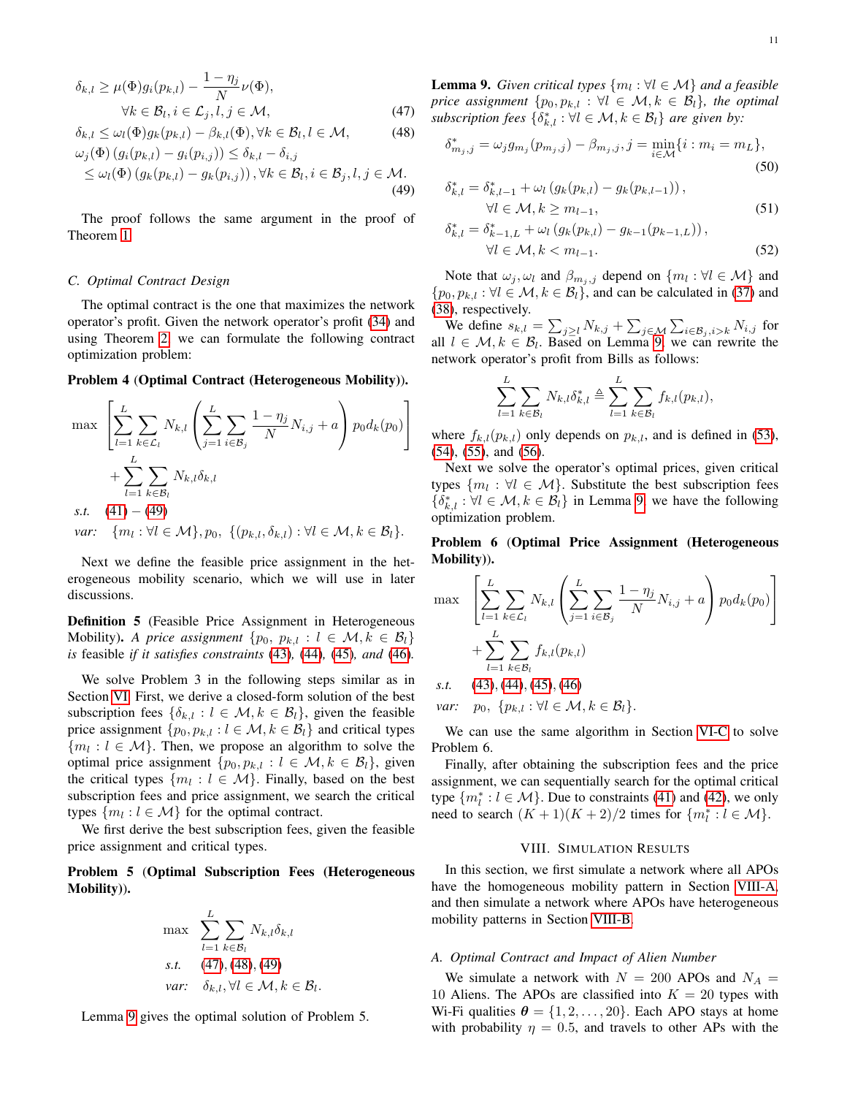$$
\delta_{k,l} \ge \mu(\Phi)g_i(p_{k,l}) - \frac{1 - \eta_j}{N}\nu(\Phi),
$$
  

$$
\forall k \in \mathcal{B}_l, i \in \mathcal{L}_j, l, j \in \mathcal{M},
$$
 (47)

$$
\delta_{k,l} \le \omega_l(\Phi) g_k(p_{k,l}) - \beta_{k,l}(\Phi), \forall k \in \mathcal{B}_l, l \in \mathcal{M},
$$
\n(48)

$$
\omega_j(\Phi) (g_i(p_{k,l}) - g_i(p_{i,j})) \le \delta_{k,l} - \delta_{i,j}
$$
  
\n
$$
\le \omega_l(\Phi) (g_k(p_{k,l}) - g_k(p_{i,j})) , \forall k \in \mathcal{B}_l, i \in \mathcal{B}_j, l, j \in \mathcal{M}.
$$
\n(49)

The proof follows the same argument in the proof of Theorem [1.](#page-6-4)

# *C. Optimal Contract Design*

The optimal contract is the one that maximizes the network operator's profit. Given the network operator's profit [\(34\)](#page-8-3) and using Theorem [2,](#page-9-6) we can formulate the following contract optimization problem:

# Problem 4 (Optimal Contract (Heterogeneous Mobility)).

$$
\max \left[ \sum_{l=1}^{L} \sum_{k \in \mathcal{L}_l} N_{k,l} \left( \sum_{j=1}^{L} \sum_{i \in \mathcal{B}_j} \frac{1 - \eta_j}{N} N_{i,j} + a \right) p_0 d_k(p_0) \right] + \sum_{l=1}^{L} \sum_{k \in \mathcal{B}_l} N_{k,l} \delta_{k,l}
$$
  
s.t. (41) – (49)  
*var*: {*m*<sub>l</sub> :  $\forall l \in \mathcal{M}$ }, *p*<sub>0</sub>, {*(p<sub>k,l</sub>, δ<sub>k,l</sub>)* :  $\forall l \in \mathcal{M}, k \in \mathcal{B}_l$  }.

Next we define the feasible price assignment in the heterogeneous mobility scenario, which we will use in later discussions.

**Definition 5** (Feasible Price Assignment in Heterogeneous Mobility). *A price assignment*  $\{p_0, p_{k,l} : l \in \mathcal{M}, k \in \mathcal{B}_l\}$ *is* feasible *if it satisfies constraints* [\(43\)](#page-9-8)*,* [\(44\)](#page-9-9)*,* [\(45\)](#page-9-10)*, and* [\(46\)](#page-9-11)*.*

We solve Problem 3 in the following steps similar as in Section [VI.](#page-6-0) First, we derive a closed-form solution of the best subscription fees  $\{\delta_{k,l} : l \in \mathcal{M}, k \in \mathcal{B}_l\}$ , given the feasible price assignment  $\{p_0, p_{k,l} : l \in \mathcal{M}, k \in \mathcal{B}_l\}$  and critical types  ${m_l : l \in \mathcal{M}}$ . Then, we propose an algorithm to solve the optimal price assignment  $\{p_0, p_{k,l} : l \in \mathcal{M}, k \in \mathcal{B}_l\}$ , given the critical types  $\{m_l : l \in \mathcal{M}\}\$ . Finally, based on the best subscription fees and price assignment, we search the critical types  $\{m_l : l \in \mathcal{M}\}\$  for the optimal contract.

We first derive the best subscription fees, given the feasible price assignment and critical types.

Problem 5 (Optimal Subscription Fees (Heterogeneous Mobility)).

$$
\max \sum_{l=1}^{L} \sum_{k \in \mathcal{B}_l} N_{k,l} \delta_{k,l}
$$
  
s.t. (47), (48), (49)  
*var*:  $\delta_{k,l}, \forall l \in \mathcal{M}, k \in \mathcal{B}_l.$ 

Lemma [9](#page-10-4) gives the optimal solution of Problem 5.

<span id="page-10-4"></span><span id="page-10-3"></span><span id="page-10-2"></span>**Lemma 9.** *Given critical types*  $\{m_l : \forall l \in \mathcal{M}\}\$ and a feasible *price assignment*  $\{p_0, p_{k,l} : \forall l \in \mathcal{M}, k \in \mathcal{B}_l\}$ , the optimal *subscription fees*  $\{\delta_{k,l}^*: \forall l \in \mathcal{M}, k \in \mathcal{B}_l\}$  *are given by:* 

$$
\delta_{m_j,j}^* = \omega_j g_{m_j}(p_{m_j,j}) - \beta_{m_j,j}, j = \min_{i \in \mathcal{M}} \{i : m_i = m_L\},\tag{50}
$$

<span id="page-10-1"></span>
$$
\delta_{k,l}^{*} = \delta_{k,l-1}^{*} + \omega_{l} (g_{k}(p_{k,l}) - g_{k}(p_{k,l-1})),
$$
  
 
$$
\forall l \in \mathcal{M}, k \ge m_{l-1},
$$
 (51)

$$
\delta_{k,l}^* = \delta_{k-1,L}^* + \omega_l \left( g_k(p_{k,l}) - g_{k-1}(p_{k-1,L}) \right),
$$
  
 
$$
\forall l \in \mathcal{M}, k < m_{l-1}.
$$
 (52)

Note that  $\omega_j, \omega_l$  and  $\beta_{m_j, j}$  depend on  $\{m_l : \forall l \in \mathcal{M}\}\$  and  $\{p_0, p_{k,l} : \forall l \in \mathcal{M}, k \in \mathcal{B}_l\}$ , and can be calculated in [\(37\)](#page-8-4) and [\(38\)](#page-8-5), respectively.

We define  $s_{k,l} = \sum_{j \geq l} N_{k,j} + \sum_{j \in \mathcal{M}} \sum_{i \in \mathcal{B}_j, i > k} N_{i,j}$  for all  $l \in \mathcal{M}, k \in \mathcal{B}_l$ . Based on Lemma [9,](#page-10-4) we can rewrite the network operator's profit from Bills as follows:

$$
\sum_{l=1}^{L} \sum_{k \in \mathcal{B}_l} N_{k,l} \delta_{k,l}^* \triangleq \sum_{l=1}^{L} \sum_{k \in \mathcal{B}_l} f_{k,l}(p_{k,l}),
$$

where  $f_{k,l}(p_{k,l})$  only depends on  $p_{k,l}$ , and is defined in [\(53\)](#page-11-0), [\(54\)](#page-11-1), [\(55\)](#page-11-2), and [\(56\)](#page-11-3).

Next we solve the operator's optimal prices, given critical types  $\{m_l : \forall l \in \mathcal{M}\}$ . Substitute the best subscription fees  $\{\delta_{k,l}^*: \forall l \in \mathcal{M}, k \in \mathcal{B}_l\}$  in Lemma [9,](#page-10-4) we have the following optimization problem.

Problem 6 (Optimal Price Assignment (Heterogeneous Mobility)).

$$
\max \left[ \sum_{l=1}^{L} \sum_{k \in \mathcal{L}_l} N_{k,l} \left( \sum_{j=1}^{L} \sum_{i \in \mathcal{B}_j} \frac{1 - \eta_j}{N} N_{i,j} + a \right) p_0 d_k(p_0) \right] + \sum_{l=1}^{L} \sum_{k \in \mathcal{B}_l} f_{k,l}(p_{k,l})
$$
  
s.t. (43), (44), (45), (46)

*var:*  $p_0$ ,  $\{p_{k,l} : \forall l \in \mathcal{M}, k \in \mathcal{B}_l\}.$ 

We can use the same algorithm in Section [VI-C](#page-6-9) to solve Problem 6.

Finally, after obtaining the subscription fees and the price assignment, we can sequentially search for the optimal critical type  $\{m_l^*: l \in \mathcal{M}\}$ . Due to constraints [\(41\)](#page-9-7) and [\(42\)](#page-9-12), we only need to search  $(K + 1)(K + 2)/2$  times for  $\{m_l^* : l \in \mathcal{M}\}.$ 

#### VIII. SIMULATION RESULTS

<span id="page-10-0"></span>In this section, we first simulate a network where all APOs have the homogeneous mobility pattern in Section [VIII-A,](#page-10-5) and then simulate a network where APOs have heterogeneous mobility patterns in Section [VIII-B.](#page-12-1)

#### <span id="page-10-5"></span>*A. Optimal Contract and Impact of Alien Number*

We simulate a network with  $N = 200$  APOs and  $N_A =$ 10 Aliens. The APOs are classified into  $K = 20$  types with Wi-Fi qualities  $\boldsymbol{\theta} = \{1, 2, \dots, 20\}$ . Each APO stays at home with probability  $\eta = 0.5$ , and travels to other APs with the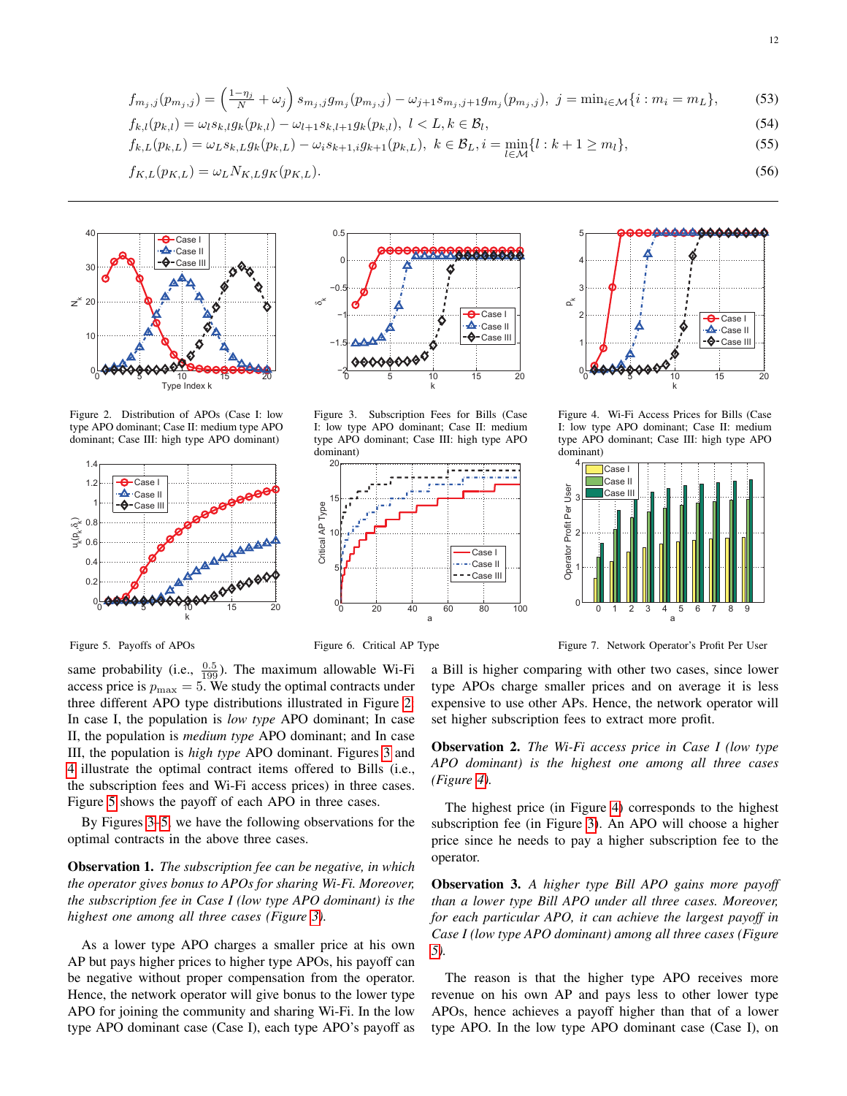$$
f_{m_j,j}(p_{m_j,j}) = \left(\frac{1-\eta_j}{N} + \omega_j\right) s_{m_j,j} g_{m_j}(p_{m_j,j}) - \omega_{j+1} s_{m_j,j+1} g_{m_j}(p_{m_j,j}), \ j = \min_{i \in \mathcal{M}} \{i : m_i = m_L\},\tag{53}
$$

$$
f_{k,l}(p_{k,l}) = \omega_l s_{k,l} g_k(p_{k,l}) - \omega_{l+1} s_{k,l+1} g_k(p_{k,l}), \ l < L, k \in \mathcal{B}_l,
$$
\n(54)

$$
f_{k,L}(p_{k,L}) = \omega_L s_{k,L} g_k(p_{k,L}) - \omega_i s_{k+1,i} g_{k+1}(p_{k,L}), \ k \in \mathcal{B}_L, i = \min_{l \in \mathcal{M}} \{l : k+1 \ge m_l\},\tag{55}
$$

$$
f_{K,L}(p_{K,L}) = \omega_L N_{K,L} g_K(p_{K,L}).
$$
\n<sup>(56)</sup>



<span id="page-11-4"></span>Figure 2. Distribution of APOs (Case I: low type APO dominant; Case II: medium type APO dominant; Case III: high type APO dominant)



same probability (i.e.,  $\frac{0.5}{199}$ ). The maximum allowable Wi-Fi access price is  $p_{\text{max}} = 5$ . We study the optimal contracts under three different APO type distributions illustrated in Figure [2:](#page-11-4) In case I, the population is *low type* APO dominant; In case II, the population is *medium type* APO dominant; and In case III, the population is *high type* APO dominant. Figures [3](#page-11-5) and [4](#page-11-6) illustrate the optimal contract items offered to Bills (i.e., the subscription fees and Wi-Fi access prices) in three cases. Figure [5](#page-11-7) shows the payoff of each APO in three cases.

By Figures [3–](#page-11-5)[5,](#page-11-7) we have the following observations for the

<span id="page-11-8"></span>Observation 1. *The subscription fee can be negative, in which the operator gives bonus to APOs for sharing Wi-Fi. Moreover, the subscription fee in Case I (low type APO dominant) is the*

As a lower type APO charges a smaller price at his own AP but pays higher prices to higher type APOs, his payoff can be negative without proper compensation from the operator. Hence, the network operator will give bonus to the lower type APO for joining the community and sharing Wi-Fi. In the low type APO dominant case (Case I), each type APO's payoff as

optimal contracts in the above three cases.

*highest one among all three cases (Figure [3\)](#page-11-5).*

<span id="page-11-7"></span>Figure 5. Payoffs of APOs



<span id="page-11-5"></span>Figure 3. Subscription Fees for Bills (Case I: low type APO dominant; Case II: medium type APO dominant; Case III: high type APO dominant)



<span id="page-11-3"></span><span id="page-11-2"></span><span id="page-11-1"></span><span id="page-11-0"></span>

<span id="page-11-6"></span>Figure 4. Wi-Fi Access Prices for Bills (Case I: low type APO dominant; Case II: medium type APO dominant; Case III: high type APO dominant)



<span id="page-11-11"></span>Figure 7. Network Operator's Profit Per User

Figure 6. Critical AP Type

a Bill is higher comparing with other two cases, since lower type APOs charge smaller prices and on average it is less expensive to use other APs. Hence, the network operator will set higher subscription fees to extract more profit.

<span id="page-11-9"></span>Observation 2. *The Wi-Fi access price in Case I (low type APO dominant) is the highest one among all three cases (Figure [4\)](#page-11-6).*

The highest price (in Figure [4\)](#page-11-6) corresponds to the highest subscription fee (in Figure [3\)](#page-11-5). An APO will choose a higher price since he needs to pay a higher subscription fee to the operator.

Observation 3. *A higher type Bill APO gains more payoff than a lower type Bill APO under all three cases. Moreover, for each particular APO, it can achieve the largest payoff in Case I (low type APO dominant) among all three cases (Figure [5\)](#page-11-7).*

The reason is that the higher type APO receives more revenue on his own AP and pays less to other lower type APOs, hence achieves a payoff higher than that of a lower type APO. In the low type APO dominant case (Case I), on

<span id="page-11-10"></span>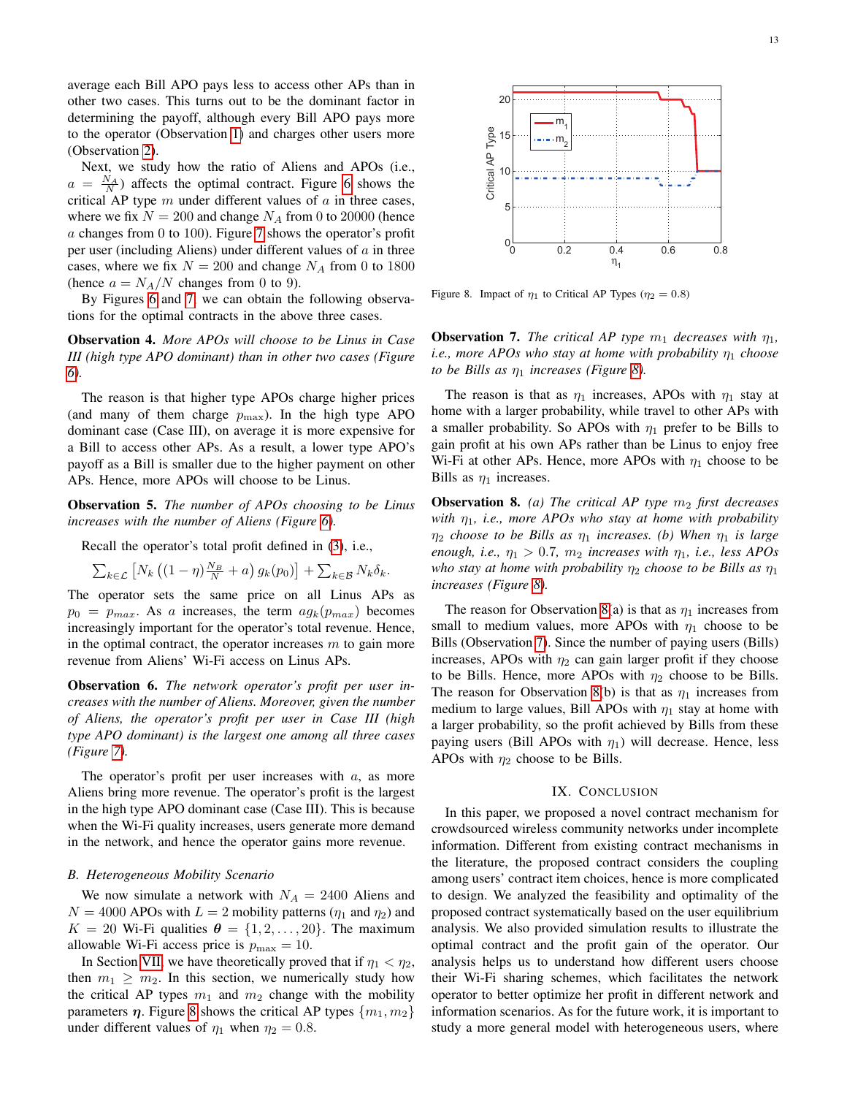average each Bill APO pays less to access other APs than in other two cases. This turns out to be the dominant factor in determining the payoff, although every Bill APO pays more to the operator (Observation [1\)](#page-11-8) and charges other users more (Observation [2\)](#page-11-9).

Next, we study how the ratio of Aliens and APOs (i.e.,  $a = \frac{N_A}{N}$  affects the optimal contract. Figure [6](#page-11-10) shows the critical AP type  $m$  under different values of  $a$  in three cases, where we fix  $N = 200$  and change  $N_A$  from 0 to 20000 (hence a changes from 0 to 100). Figure [7](#page-11-11) shows the operator's profit per user (including Aliens) under different values of  $a$  in three cases, where we fix  $N = 200$  and change  $N_A$  from 0 to 1800 (hence  $a = N_A/N$  changes from 0 to 9).

By Figures [6](#page-11-10) and [7,](#page-11-11) we can obtain the following observations for the optimal contracts in the above three cases.

Observation 4. *More APOs will choose to be Linus in Case III (high type APO dominant) than in other two cases (Figure [6\)](#page-11-10).*

The reason is that higher type APOs charge higher prices (and many of them charge  $p_{\text{max}}$ ). In the high type APO dominant case (Case III), on average it is more expensive for a Bill to access other APs. As a result, a lower type APO's payoff as a Bill is smaller due to the higher payment on other APs. Hence, more APOs will choose to be Linus.

Observation 5. *The number of APOs choosing to be Linus increases with the number of Aliens (Figure [6\)](#page-11-10).*

Recall the operator's total profit defined in [\(3\)](#page-4-6), i.e.,

$$
\sum_{k \in \mathcal{L}} \left[ N_k \left( (1 - \eta) \frac{N_B}{N} + a \right) g_k(p_0) \right] + \sum_{k \in \mathcal{B}} N_k \delta_k.
$$

The operator sets the same price on all Linus APs as  $p_0 = p_{max}$ . As a increases, the term  $ag_k(p_{max})$  becomes increasingly important for the operator's total revenue. Hence, in the optimal contract, the operator increases  $m$  to gain more revenue from Aliens' Wi-Fi access on Linus APs.

Observation 6. *The network operator's profit per user increases with the number of Aliens. Moreover, given the number of Aliens, the operator's profit per user in Case III (high type APO dominant) is the largest one among all three cases (Figure [7\)](#page-11-11).*

The operator's profit per user increases with  $a$ , as more Aliens bring more revenue. The operator's profit is the largest in the high type APO dominant case (Case III). This is because when the Wi-Fi quality increases, users generate more demand in the network, and hence the operator gains more revenue.

#### <span id="page-12-1"></span>*B. Heterogeneous Mobility Scenario*

We now simulate a network with  $N_A = 2400$  Aliens and  $N = 4000$  APOs with  $L = 2$  mobility patterns ( $\eta_1$  and  $\eta_2$ ) and  $K = 20$  Wi-Fi qualities  $\boldsymbol{\theta} = \{1, 2, \dots, 20\}$ . The maximum allowable Wi-Fi access price is  $p_{\text{max}} = 10$ .

In Section [VII,](#page-8-0) we have theoretically proved that if  $\eta_1 < \eta_2$ , then  $m_1 \geq m_2$ . In this section, we numerically study how the critical AP types  $m_1$  and  $m_2$  change with the mobility parameters  $\eta$ . Figure [8](#page-12-2) shows the critical AP types  $\{m_1, m_2\}$ under different values of  $\eta_1$  when  $\eta_2 = 0.8$ .



<span id="page-12-2"></span>Figure 8. Impact of  $\eta_1$  to Critical AP Types ( $\eta_2 = 0.8$ )

<span id="page-12-4"></span>**Observation 7.** *The critical AP type*  $m_1$  *decreases with*  $\eta_1$ *, i.e., more APOs who stay at home with probability*  $\eta_1$  *choose to be Bills as*  $\eta_1$  *increases (Figure [8\)](#page-12-2).* 

The reason is that as  $\eta_1$  increases, APOs with  $\eta_1$  stay at home with a larger probability, while travel to other APs with a smaller probability. So APOs with  $\eta_1$  prefer to be Bills to gain profit at his own APs rather than be Linus to enjoy free Wi-Fi at other APs. Hence, more APOs with  $\eta_1$  choose to be Bills as  $\eta_1$  increases.

<span id="page-12-3"></span>**Observation 8.** *(a) The critical AP type*  $m_2$  *first decreases with*  $\eta_1$ , *i.e., more APOs who stay at home with probability*  $\eta_2$  *choose to be Bills as*  $\eta_1$  *increases. (b)* When  $\eta_1$  *is large enough, i.e.,*  $\eta_1 > 0.7$ ,  $m_2$  *increases with*  $\eta_1$ *, i.e., less APOs who stay at home with probability*  $\eta_2$  *choose to be Bills as*  $\eta_1$ *increases (Figure [8\)](#page-12-2).*

The reason for Observation [8\(](#page-12-3)a) is that as  $\eta_1$  increases from small to medium values, more APOs with  $\eta_1$  choose to be Bills (Observation [7\)](#page-12-4). Since the number of paying users (Bills) increases, APOs with  $\eta_2$  can gain larger profit if they choose to be Bills. Hence, more APOs with  $\eta_2$  choose to be Bills. The reason for Observation [8\(](#page-12-3)b) is that as  $\eta_1$  increases from medium to large values, Bill APOs with  $\eta_1$  stay at home with a larger probability, so the profit achieved by Bills from these paying users (Bill APOs with  $\eta_1$ ) will decrease. Hence, less APOs with  $\eta_2$  choose to be Bills.

#### IX. CONCLUSION

<span id="page-12-0"></span>In this paper, we proposed a novel contract mechanism for crowdsourced wireless community networks under incomplete information. Different from existing contract mechanisms in the literature, the proposed contract considers the coupling among users' contract item choices, hence is more complicated to design. We analyzed the feasibility and optimality of the proposed contract systematically based on the user equilibrium analysis. We also provided simulation results to illustrate the optimal contract and the profit gain of the operator. Our analysis helps us to understand how different users choose their Wi-Fi sharing schemes, which facilitates the network operator to better optimize her profit in different network and information scenarios. As for the future work, it is important to study a more general model with heterogeneous users, where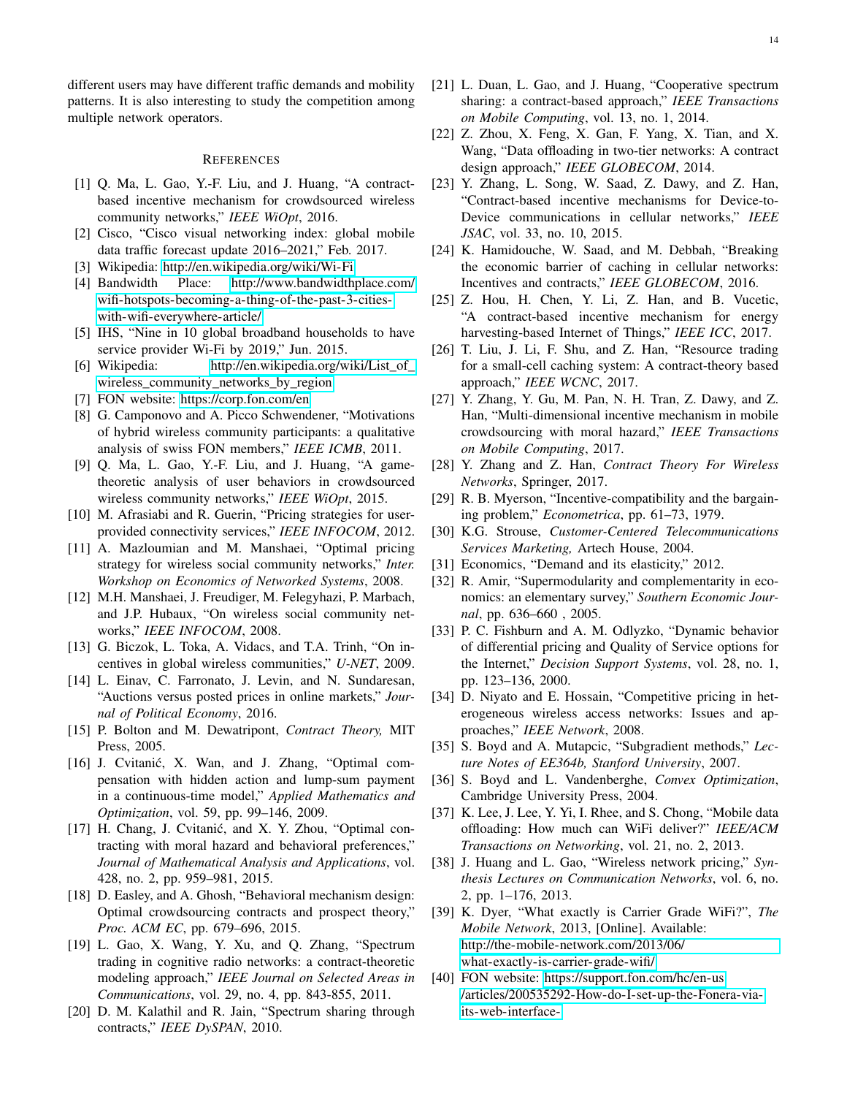different users may have different traffic demands and mobility patterns. It is also interesting to study the competition among multiple network operators.

#### REFERENCES

- <span id="page-13-3"></span>[1] Q. Ma, L. Gao, Y.-F. Liu, and J. Huang, "A contractbased incentive mechanism for crowdsourced wireless community networks," *IEEE WiOpt*, 2016.
- <span id="page-13-0"></span>[2] Cisco, "Cisco visual networking index: global mobile data traffic forecast update 2016–2021," Feb. 2017.
- <span id="page-13-1"></span>[3] Wikipedia:<http://en.wikipedia.org/wiki/Wi-Fi>
- <span id="page-13-2"></span>[4] Bandwidth Place: [http://www.bandwidthplace.com/](http://www.bandwidthplace.com/wifi-hotspots-becoming-a-thing-of-the-past-3-cities-) [wifi-hotspots-becoming-a-thing-of-the-past-3-cities](http://www.bandwidthplace.com/wifi-hotspots-becoming-a-thing-of-the-past-3-cities-)<with-wifi-everywhere-article/>
- <span id="page-13-4"></span>[5] IHS, "Nine in 10 global broadband households to have service provider Wi-Fi by 2019," Jun. 2015.
- <span id="page-13-5"></span>[6] Wikipedia: [http://en.wikipedia.org/wiki/List\\_of\\_](http://en.wikipedia.org/wiki/List_of_wireless_community_networks_by_region) wireless community networks by region
- <span id="page-13-6"></span>[7] FON website:<https://corp.fon.com/en>
- <span id="page-13-7"></span>[8] G. Camponovo and A. Picco Schwendener, "Motivations of hybrid wireless community participants: a qualitative analysis of swiss FON members," *IEEE ICMB*, 2011.
- <span id="page-13-10"></span>[9] Q. Ma, L. Gao, Y.-F. Liu, and J. Huang, "A gametheoretic analysis of user behaviors in crowdsourced wireless community networks," *IEEE WiOpt*, 2015.
- <span id="page-13-14"></span>[10] M. Afrasiabi and R. Guerin, "Pricing strategies for userprovided connectivity services," *IEEE INFOCOM*, 2012.
- <span id="page-13-15"></span>[11] A. Mazloumian and M. Manshaei, "Optimal pricing strategy for wireless social community networks," *Inter. Workshop on Economics of Networked Systems*, 2008.
- <span id="page-13-16"></span>[12] M.H. Manshaei, J. Freudiger, M. Felegyhazi, P. Marbach, and J.P. Hubaux, "On wireless social community networks," *IEEE INFOCOM*, 2008.
- <span id="page-13-8"></span>[13] G. Biczok, L. Toka, A. Vidacs, and T.A. Trinh, "On incentives in global wireless communities," *U-NET*, 2009.
- <span id="page-13-23"></span>[14] L. Einav, C. Farronato, J. Levin, and N. Sundaresan, "Auctions versus posted prices in online markets," *Journal of Political Economy*, 2016.
- <span id="page-13-11"></span>[15] P. Bolton and M. Dewatripont, *Contract Theory,* MIT Press, 2005.
- <span id="page-13-17"></span>[16] J. Cvitanić, X. Wan, and J. Zhang, "Optimal compensation with hidden action and lump-sum payment in a continuous-time model," *Applied Mathematics and Optimization*, vol. 59, pp. 99–146, 2009.
- [17] H. Chang, J. Cvitanić, and X. Y. Zhou, "Optimal contracting with moral hazard and behavioral preferences," *Journal of Mathematical Analysis and Applications*, vol. 428, no. 2, pp. 959–981, 2015.
- <span id="page-13-18"></span>[18] D. Easley, and A. Ghosh, "Behavioral mechanism design: Optimal crowdsourcing contracts and prospect theory," *Proc. ACM EC*, pp. 679–696, 2015.
- <span id="page-13-12"></span>[19] L. Gao, X. Wang, Y. Xu, and Q. Zhang, "Spectrum trading in cognitive radio networks: a contract-theoretic modeling approach," *IEEE Journal on Selected Areas in Communications*, vol. 29, no. 4, pp. 843-855, 2011.
- <span id="page-13-19"></span>[20] D. M. Kalathil and R. Jain, "Spectrum sharing through contracts," *IEEE DySPAN*, 2010.
- <span id="page-13-20"></span>[21] L. Duan, L. Gao, and J. Huang, "Cooperative spectrum sharing: a contract-based approach," *IEEE Transactions on Mobile Computing*, vol. 13, no. 1, 2014.
- <span id="page-13-21"></span>[22] Z. Zhou, X. Feng, X. Gan, F. Yang, X. Tian, and X. Wang, "Data offloading in two-tier networks: A contract design approach," *IEEE GLOBECOM*, 2014.
- <span id="page-13-13"></span>[23] Y. Zhang, L. Song, W. Saad, Z. Dawy, and Z. Han, "Contract-based incentive mechanisms for Device-to-Device communications in cellular networks," *IEEE JSAC*, vol. 33, no. 10, 2015.
- [24] K. Hamidouche, W. Saad, and M. Debbah, "Breaking the economic barrier of caching in cellular networks: Incentives and contracts," *IEEE GLOBECOM*, 2016.
- [25] Z. Hou, H. Chen, Y. Li, Z. Han, and B. Vucetic, "A contract-based incentive mechanism for energy harvesting-based Internet of Things," *IEEE ICC*, 2017.
- [26] T. Liu, J. Li, F. Shu, and Z. Han, "Resource trading for a small-cell caching system: A contract-theory based approach," *IEEE WCNC*, 2017.
- [27] Y. Zhang, Y. Gu, M. Pan, N. H. Tran, Z. Dawy, and Z. Han, "Multi-dimensional incentive mechanism in mobile crowdsourcing with moral hazard," *IEEE Transactions on Mobile Computing*, 2017.
- <span id="page-13-22"></span>[28] Y. Zhang and Z. Han, *Contract Theory For Wireless Networks*, Springer, 2017.
- <span id="page-13-26"></span>[29] R. B. Myerson, "Incentive-compatibility and the bargaining problem," *Econometrica*, pp. 61–73, 1979.
- <span id="page-13-27"></span>[30] K.G. Strouse, *Customer-Centered Telecommunications Services Marketing,* Artech House, 2004.
- <span id="page-13-28"></span>[31] Economics, "Demand and its elasticity," 2012.
- <span id="page-13-29"></span>[32] R. Amir, "Supermodularity and complementarity in economics: an elementary survey," *Southern Economic Journal*, pp. 636–660 , 2005.
- <span id="page-13-30"></span>[33] P. C. Fishburn and A. M. Odlyzko, "Dynamic behavior of differential pricing and Quality of Service options for the Internet," *Decision Support Systems*, vol. 28, no. 1, pp. 123–136, 2000.
- <span id="page-13-31"></span>[34] D. Niyato and E. Hossain, "Competitive pricing in heterogeneous wireless access networks: Issues and approaches," *IEEE Network*, 2008.
- <span id="page-13-32"></span>[35] S. Boyd and A. Mutapcic, "Subgradient methods," *Lecture Notes of EE364b, Stanford University*, 2007.
- <span id="page-13-33"></span>[36] S. Boyd and L. Vandenberghe, *Convex Optimization*, Cambridge University Press, 2004.
- <span id="page-13-9"></span>[37] K. Lee, J. Lee, Y. Yi, I. Rhee, and S. Chong, "Mobile data offloading: How much can WiFi deliver?" *IEEE/ACM Transactions on Networking*, vol. 21, no. 2, 2013.
- [38] J. Huang and L. Gao, "Wireless network pricing," *Synthesis Lectures on Communication Networks*, vol. 6, no. 2, pp. 1–176, 2013.
- <span id="page-13-25"></span>[39] K. Dyer, "What exactly is Carrier Grade WiFi?", *The Mobile Network*, 2013, [Online]. Available: [http://the-mobile-network.com/2013/06/](http://the-mobile-network.com/2013/06/what-exactly-is-carrier-grade-wifi/) [what-exactly-is-carrier-grade-wifi/](http://the-mobile-network.com/2013/06/what-exactly-is-carrier-grade-wifi/)
- <span id="page-13-24"></span>[40] FON website:<https://support.fon.com/hc/en-us> [/articles/200535292-How-do-I-set-up-the-Fonera-via](/articles/200535292-How-do-I-set-up-the-Fonera-via-)<its-web-interface->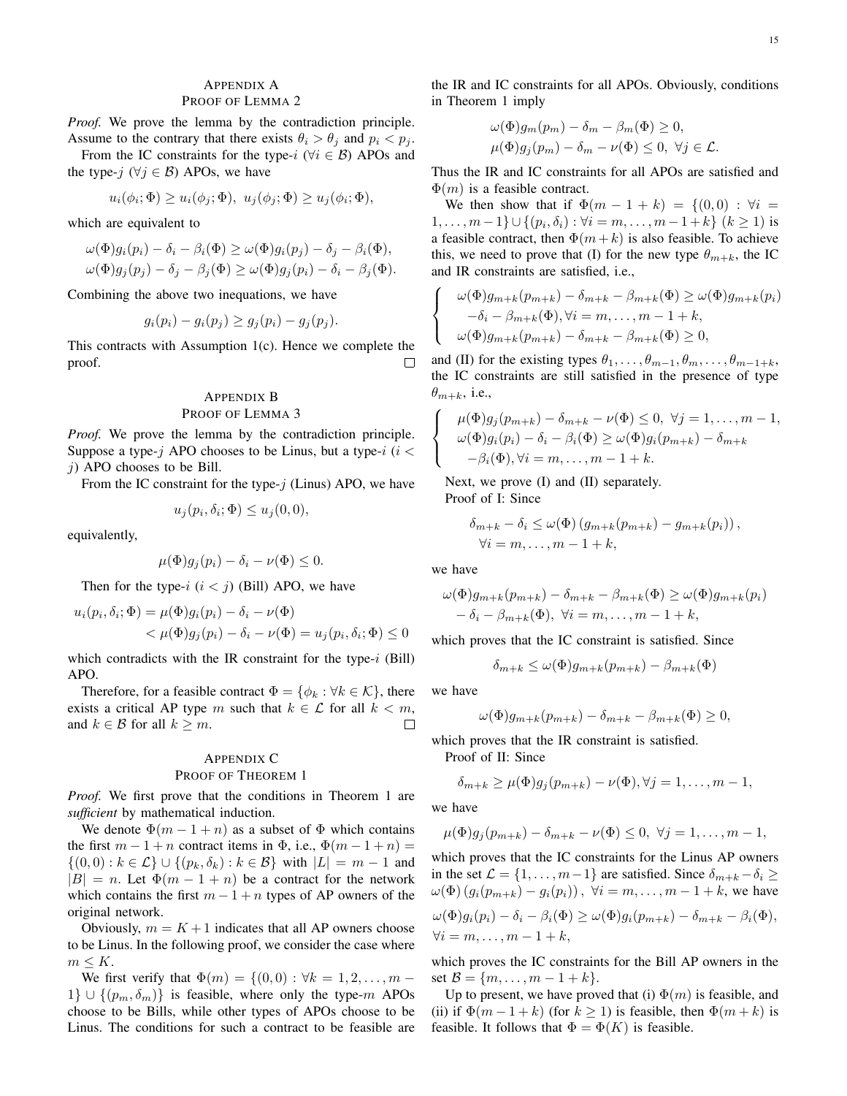# APPENDIX A PROOF OF LEMMA 2

*Proof.* We prove the lemma by the contradiction principle. Assume to the contrary that there exists  $\theta_i > \theta_j$  and  $p_i < p_j$ .

From the IC constraints for the type-i ( $\forall i \in \mathcal{B}$ ) APOs and the type-j ( $\forall j \in \mathcal{B}$ ) APOs, we have

$$
u_i(\phi_i; \Phi) \ge u_i(\phi_j; \Phi), \ u_j(\phi_j; \Phi) \ge u_j(\phi_i; \Phi),
$$

which are equivalent to

$$
\omega(\Phi)g_i(p_i) - \delta_i - \beta_i(\Phi) \ge \omega(\Phi)g_i(p_j) - \delta_j - \beta_i(\Phi),
$$
  

$$
\omega(\Phi)g_j(p_j) - \delta_j - \beta_j(\Phi) \ge \omega(\Phi)g_j(p_i) - \delta_i - \beta_j(\Phi).
$$

Combining the above two inequations, we have

$$
g_i(p_i) - g_i(p_j) \ge g_j(p_i) - g_j(p_j).
$$

This contracts with Assumption 1(c). Hence we complete the proof.  $\Box$ 

# APPENDIX B PROOF OF LEMMA 3

*Proof.* We prove the lemma by the contradiction principle. Suppose a type-j APO chooses to be Linus, but a type-i  $(i <$  $j$ ) APO chooses to be Bill.

From the IC constraint for the type- $j$  (Linus) APO, we have

$$
u_j(p_i, \delta_i; \Phi) \le u_j(0, 0),
$$

equivalently,

$$
\mu(\Phi)g_j(p_i) - \delta_i - \nu(\Phi) \leq 0.
$$

Then for the type-i  $(i < j)$  (Bill) APO, we have

$$
u_i(p_i, \delta_i; \Phi) = \mu(\Phi)g_i(p_i) - \delta_i - \nu(\Phi)
$$
  

$$
< \mu(\Phi)g_j(p_i) - \delta_i - \nu(\Phi) = u_j(p_i, \delta_i; \Phi) \le 0
$$

which contradicts with the IR constraint for the type- $i$  (Bill) APO.

Therefore, for a feasible contract  $\Phi = {\phi_k : \forall k \in \mathcal{K}}$ , there exists a critical AP type m such that  $k \in \mathcal{L}$  for all  $k < m$ , and  $k \in \mathcal{B}$  for all  $k \geq m$ .  $\Box$ 

# APPENDIX C

# PROOF OF THEOREM 1

*Proof.* We first prove that the conditions in Theorem 1 are *sufficient* by mathematical induction.

We denote  $\Phi(m-1+n)$  as a subset of  $\Phi$  which contains the first  $m - 1 + n$  contract items in  $\Phi$ , i.e.,  $\Phi(m - 1 + n) =$  $\{(0,0): k \in \mathcal{L}\} \cup \{(p_k, \delta_k): k \in \mathcal{B}\}\$  with  $|L| = m - 1$  and  $|B| = n$ . Let  $\Phi(m - 1 + n)$  be a contract for the network which contains the first  $m - 1 + n$  types of AP owners of the original network.

Obviously,  $m = K + 1$  indicates that all AP owners choose to be Linus. In the following proof, we consider the case where  $m \leq K$ .

We first verify that  $\Phi(m) = \{(0,0) : \forall k = 1,2,\ldots,m$ 1}  $\cup$  {( $p_m, \delta_m$ )} is feasible, where only the type-m APOs choose to be Bills, while other types of APOs choose to be Linus. The conditions for such a contract to be feasible are the IR and IC constraints for all APOs. Obviously, conditions in Theorem 1 imply

$$
\omega(\Phi)g_m(p_m) - \delta_m - \beta_m(\Phi) \ge 0,
$$
  

$$
\mu(\Phi)g_j(p_m) - \delta_m - \nu(\Phi) \le 0, \ \forall j \in \mathcal{L}.
$$

Thus the IR and IC constraints for all APOs are satisfied and  $\Phi(m)$  is a feasible contract.

We then show that if  $\Phi(m-1+k) = \{(0,0) : \forall i =$  $1, \ldots, m-1\} \cup \{(p_i, \delta_i) : \forall i = m, \ldots, m-1+k\}$   $(k \ge 1)$  is a feasible contract, then  $\Phi(m+k)$  is also feasible. To achieve this, we need to prove that (I) for the new type  $\theta_{m+k}$ , the IC and IR constraints are satisfied, i.e.,

$$
\begin{cases}\n\omega(\Phi)g_{m+k}(p_{m+k}) - \delta_{m+k} - \beta_{m+k}(\Phi) \ge \omega(\Phi)g_{m+k}(p_i) \\
-\delta_i - \beta_{m+k}(\Phi), \forall i = m, \dots, m-1+k, \\
\omega(\Phi)g_{m+k}(p_{m+k}) - \delta_{m+k} - \beta_{m+k}(\Phi) \ge 0,\n\end{cases}
$$

and (II) for the existing types  $\theta_1, \ldots, \theta_{m-1}, \theta_m, \ldots, \theta_{m-1+k}$ , the IC constraints are still satisfied in the presence of type  $\theta_{m+k}$ , i.e.,

$$
\mu(\Phi)g_j(p_{m+k}) - \delta_{m+k} - \nu(\Phi) \le 0, \ \forall j = 1, ..., m-1,
$$
  

$$
\omega(\Phi)g_i(p_i) - \delta_i - \beta_i(\Phi) \ge \omega(\Phi)g_i(p_{m+k}) - \delta_{m+k}
$$
  

$$
-\beta_i(\Phi), \forall i = m, ..., m-1+k.
$$

Next, we prove (I) and (II) separately. Proof of I: Since

$$
\delta_{m+k} - \delta_i \le \omega(\Phi) \left( g_{m+k}(p_{m+k}) - g_{m+k}(p_i) \right),
$$
  
\n
$$
\forall i = m, \dots, m-1+k,
$$

we have

 $\sqrt{ }$  $\int$ 

 $\overline{a}$ 

$$
\omega(\Phi)g_{m+k}(p_{m+k}) - \delta_{m+k} - \beta_{m+k}(\Phi) \ge \omega(\Phi)g_{m+k}(p_i) - \delta_i - \beta_{m+k}(\Phi), \ \forall i = m, \dots, m-1+k,
$$

which proves that the IC constraint is satisfied. Since

$$
\delta_{m+k} \le \omega(\Phi)g_{m+k}(p_{m+k}) - \beta_{m+k}(\Phi)
$$

we have

$$
\omega(\Phi)g_{m+k}(p_{m+k}) - \delta_{m+k} - \beta_{m+k}(\Phi) \ge 0,
$$

which proves that the IR constraint is satisfied.

Proof of II: Since

$$
\delta_{m+k} \ge \mu(\Phi)g_j(p_{m+k}) - \nu(\Phi), \forall j = 1, \ldots, m-1,
$$

we have

$$
\mu(\Phi)g_j(p_{m+k})-\delta_{m+k}-\nu(\Phi)\leq 0, \ \forall j=1,\ldots,m-1,
$$

which proves that the IC constraints for the Linus AP owners in the set  $\mathcal{L} = \{1, \dots, m-1\}$  are satisfied. Since  $\delta_{m+k} - \delta_i \geq$  $\omega(\Phi)(g_i(p_{m+k}) - g_i(p_i)), \forall i = m, \ldots, m-1+k$ , we have  $\omega(\Phi)g_i(p_i) - \delta_i - \beta_i(\Phi) \geq \omega(\Phi)g_i(p_{m+k}) - \delta_{m+k} - \beta_i(\Phi),$  $\forall i = m, \ldots, m-1+k,$ 

which proves the IC constraints for the Bill AP owners in the set  $B = \{m, ..., m - 1 + k\}.$ 

Up to present, we have proved that (i)  $\Phi(m)$  is feasible, and (ii) if  $\Phi(m-1+k)$  (for  $k \ge 1$ ) is feasible, then  $\Phi(m+k)$  is feasible. It follows that  $\Phi = \Phi(K)$  is feasible.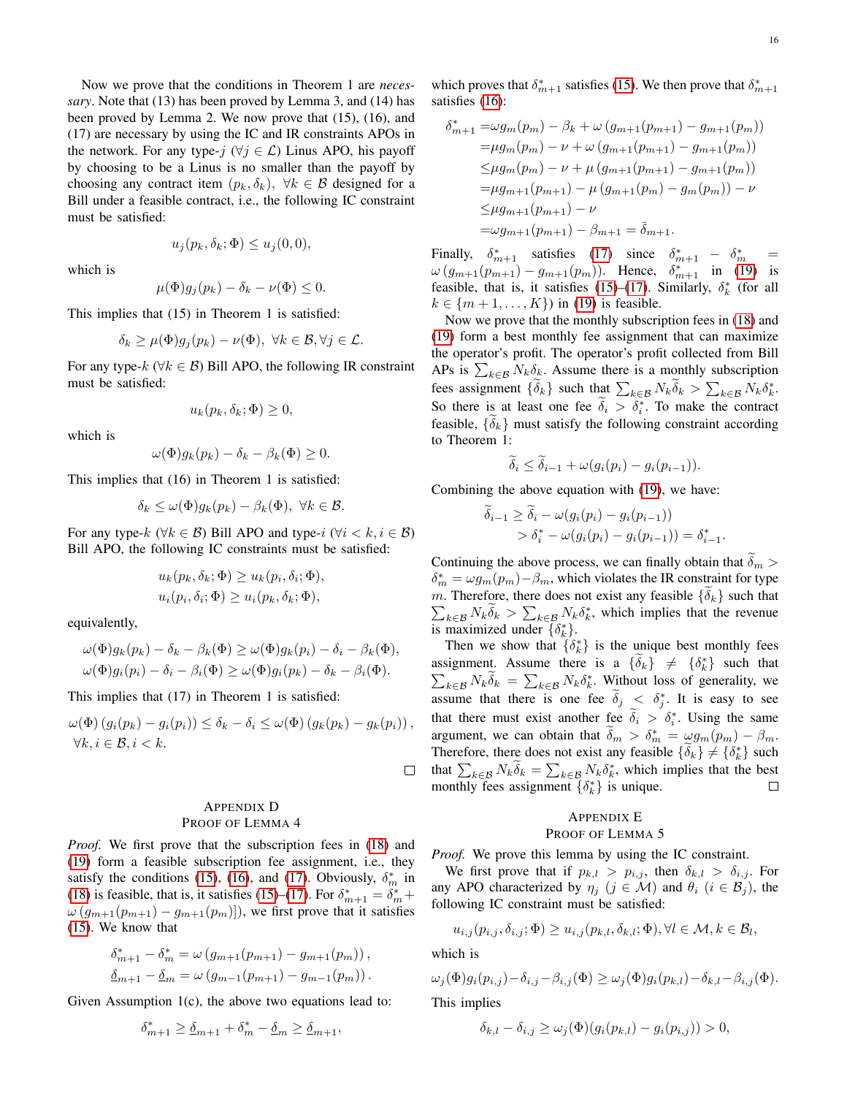Now we prove that the conditions in Theorem 1 are *necessary*. Note that (13) has been proved by Lemma 3, and (14) has been proved by Lemma 2. We now prove that (15), (16), and (17) are necessary by using the IC and IR constraints APOs in the network. For any type-j ( $\forall j \in \mathcal{L}$ ) Linus APO, his payoff by choosing to be a Linus is no smaller than the payoff by choosing any contract item  $(p_k, \delta_k)$ ,  $\forall k \in \mathcal{B}$  designed for a Bill under a feasible contract, i.e., the following IC constraint must be satisfied:

which is

$$
\mu(\Phi)g_j(p_k) - \delta_k - \nu(\Phi) \le 0.
$$

 $u_j(p_k, \delta_k; \Phi) \leq u_j(0, 0),$ 

This implies that (15) in Theorem 1 is satisfied:

$$
\delta_k \ge \mu(\Phi)g_j(p_k) - \nu(\Phi), \ \forall k \in \mathcal{B}, \forall j \in \mathcal{L}.
$$

For any type- $k$  ( $\forall k \in \mathcal{B}$ ) Bill APO, the following IR constraint must be satisfied:

$$
u_k(p_k, \delta_k; \Phi) \ge 0,
$$

which is

$$
\omega(\Phi)g_k(p_k) - \delta_k - \beta_k(\Phi) \ge 0.
$$

This implies that (16) in Theorem 1 is satisfied:

$$
\delta_k \le \omega(\Phi)g_k(p_k) - \beta_k(\Phi), \ \forall k \in \mathcal{B}.
$$

For any type-k ( $\forall k \in \mathcal{B}$ ) Bill APO and type-i ( $\forall i \leq k, i \in \mathcal{B}$ ) Bill APO, the following IC constraints must be satisfied:

$$
u_k(p_k, \delta_k; \Phi) \ge u_k(p_i, \delta_i; \Phi),
$$
  

$$
u_i(p_i, \delta_i; \Phi) \ge u_i(p_k, \delta_k; \Phi),
$$

equivalently,

$$
\omega(\Phi)g_k(p_k) - \delta_k - \beta_k(\Phi) \ge \omega(\Phi)g_k(p_i) - \delta_i - \beta_k(\Phi),
$$
  

$$
\omega(\Phi)g_i(p_i) - \delta_i - \beta_i(\Phi) \ge \omega(\Phi)g_i(p_k) - \delta_k - \beta_i(\Phi).
$$

This implies that (17) in Theorem 1 is satisfied:

$$
\omega(\Phi) (g_i(p_k) - g_i(p_i)) \leq \delta_k - \delta_i \leq \omega(\Phi) (g_k(p_k) - g_k(p_i)),
$$
  

$$
\forall k, i \in \mathcal{B}, i < k.
$$

# APPENDIX D PROOF OF LEMMA 4

*Proof.* We first prove that the subscription fees in [\(18\)](#page-6-10) and [\(19\)](#page-6-11) form a feasible subscription fee assignment, i.e., they satisfy the conditions [\(15\)](#page-6-1), [\(16\)](#page-6-2), and [\(17\)](#page-6-3). Obviously,  $\delta_m^*$  in [\(18\)](#page-6-10) is feasible, that is, it satisfies [\(15\)](#page-6-1)–[\(17\)](#page-6-3). For  $\delta^*_{m+1} = \delta^*_{m}$ +  $\omega(g_{m+1}(p_{m+1}) - g_{m+1}(p_m))$ , we first prove that it satisfies [\(15\)](#page-6-1). We know that

$$
\begin{aligned} \delta_{m+1}^* - \delta_m^* & = \omega \left( g_{m+1}(p_{m+1}) - g_{m+1}(p_m) \right), \\ \underline{\delta}_{m+1} - \underline{\delta}_m & = \omega \left( g_{m-1}(p_{m+1}) - g_{m-1}(p_m) \right). \end{aligned}
$$

Given Assumption 1(c), the above two equations lead to:

$$
\delta_{m+1}^* \geq \underline{\delta}_{m+1} + \delta_m^* - \underline{\delta}_m \geq \underline{\delta}_{m+1},
$$

which proves that  $\delta^*_{m+1}$  satisfies [\(15\)](#page-6-1). We then prove that  $\delta^*_{m+1}$ satisfies [\(16\)](#page-6-2):

$$
\delta_{m+1}^{*} = \omega g_{m}(p_{m}) - \beta_{k} + \omega (g_{m+1}(p_{m+1}) - g_{m+1}(p_{m}))
$$
  
\n
$$
= \mu g_{m}(p_{m}) - \nu + \omega (g_{m+1}(p_{m+1}) - g_{m+1}(p_{m}))
$$
  
\n
$$
\leq \mu g_{m}(p_{m}) - \nu + \mu (g_{m+1}(p_{m+1}) - g_{m+1}(p_{m}))
$$
  
\n
$$
= \mu g_{m+1}(p_{m+1}) - \mu (g_{m+1}(p_{m}) - g_{m}(p_{m})) - \nu
$$
  
\n
$$
\leq \mu g_{m+1}(p_{m+1}) - \nu
$$
  
\n
$$
= \omega g_{m+1}(p_{m+1}) - \beta_{m+1} = \overline{\delta}_{m+1}.
$$

Finally,  $\delta_{m+1}^*$  satisfies [\(17\)](#page-6-3) since  $\delta_{m+1}^* - \delta_m^* =$  $\omega(g_{m+1}(p_{m+1}) - g_{m+1}(p_m))$ . Hence,  $\delta_{m+1}^*$  in [\(19\)](#page-6-11) is feasible, that is, it satisfies [\(15\)](#page-6-1)–[\(17\)](#page-6-3). Similarly,  $\delta_k^*$  (for all  $k \in \{m+1, ..., K\}$ ) in [\(19\)](#page-6-11) is feasible.

Now we prove that the monthly subscription fees in [\(18\)](#page-6-10) and [\(19\)](#page-6-11) form a best monthly fee assignment that can maximize the operator's profit. The operator's profit collected from Bill APs is  $\sum_{k \in \mathcal{B}} N_k \delta_k$ . Assume there is a monthly subscription fees assignment  $\{\tilde{\delta}_k\}$  such that  $\sum_{k \in \mathcal{B}} N_k \tilde{\delta}_k > \sum_{k \in \mathcal{B}} N_k \delta_k^*$ . So there is at least one fee  $\delta_i > \delta_i^*$ . To make the contract feasible,  $\{\delta_k\}$  must satisfy the following constraint according to Theorem 1:

$$
\delta_i \leq \delta_{i-1} + \omega(g_i(p_i) - g_i(p_{i-1})).
$$

Combining the above equation with [\(19\)](#page-6-11), we have:

$$
\widetilde{\delta}_{i-1} \ge \widetilde{\delta}_i - \omega(g_i(p_i) - g_i(p_{i-1}))
$$
  
> 
$$
\delta_i^* - \omega(g_i(p_i) - g_i(p_{i-1})) = \delta_{i-1}^*.
$$

Continuing the above process, we can finally obtain that  $\delta_m$  >  $\delta_m^* = \omega g_m(p_m) - \beta_m$ , which violates the IR constraint for type *m*. Therefore, there does not exist any feasible  $\{\delta_k\}$  such that  $\sum_{k \in \mathcal{B}} N_k \widetilde{\delta}_k > \sum_{k \in \mathcal{B}} N_k \delta_k^*$ , which implies that the revenue m. Therefore, there does not exist any feasible  $\{\delta_k\}$  such that is maximized under  $\{\delta_k^*\}.$ 

Then we show that  $\{\delta_k^*\}$  is the unique best monthly fees assignment. Assume there is a  $\{\delta_k\} \neq \{\delta_k^*\}$  such that  $\sum_{k \in \mathcal{B}} N_k \widetilde{\delta}_k = \sum_{k \in \mathcal{B}} N_k \delta_k^*$ . Without loss of generality, we assume that there is one fee  $\delta_j \leq \delta_j^*$ . It is easy to see that there must exist another fee  $\tilde{\delta}_i > \delta_i^*$ . Using the same argument, we can obtain that  $\tilde{\delta}_m > \delta_m^* = \omega g_m(p_m) - \beta_m$ . Therefore, there does not exist any feasible  $\{\delta_k\} \neq \{\delta_k^*\}$  such that  $\sum_{k \in \mathcal{B}} N_k \tilde{\delta}_k = \sum_{k \in \mathcal{B}} N_k \delta_k^*$ , which implies that the best monthly fees assignment  $\{\delta_k^*\}$  is unique.  $\Box$ 

# APPENDIX E

#### PROOF OF LEMMA 5

*Proof.* We prove this lemma by using the IC constraint.

We first prove that if  $p_{k,l} > p_{i,j}$ , then  $\delta_{k,l} > \delta_{i,j}$ . For any APO characterized by  $\eta_i$  ( $j \in \mathcal{M}$ ) and  $\theta_i$  ( $i \in \mathcal{B}_i$ ), the following IC constraint must be satisfied:

$$
u_{i,j}(p_{i,j},\delta_{i,j};\Phi) \ge u_{i,j}(p_{k,l},\delta_{k,l};\Phi), \forall l \in \mathcal{M}, k \in \mathcal{B}_l,
$$

which is

$$
\omega_j(\Phi)g_i(p_{i,j}) - \delta_{i,j} - \beta_{i,j}(\Phi) \ge \omega_j(\Phi)g_i(p_{k,l}) - \delta_{k,l} - \beta_{i,j}(\Phi).
$$
  
This implies

$$
\delta_{k,l} - \delta_{i,j} \ge \omega_j(\Phi)(g_i(p_{k,l}) - g_i(p_{i,j})) > 0,
$$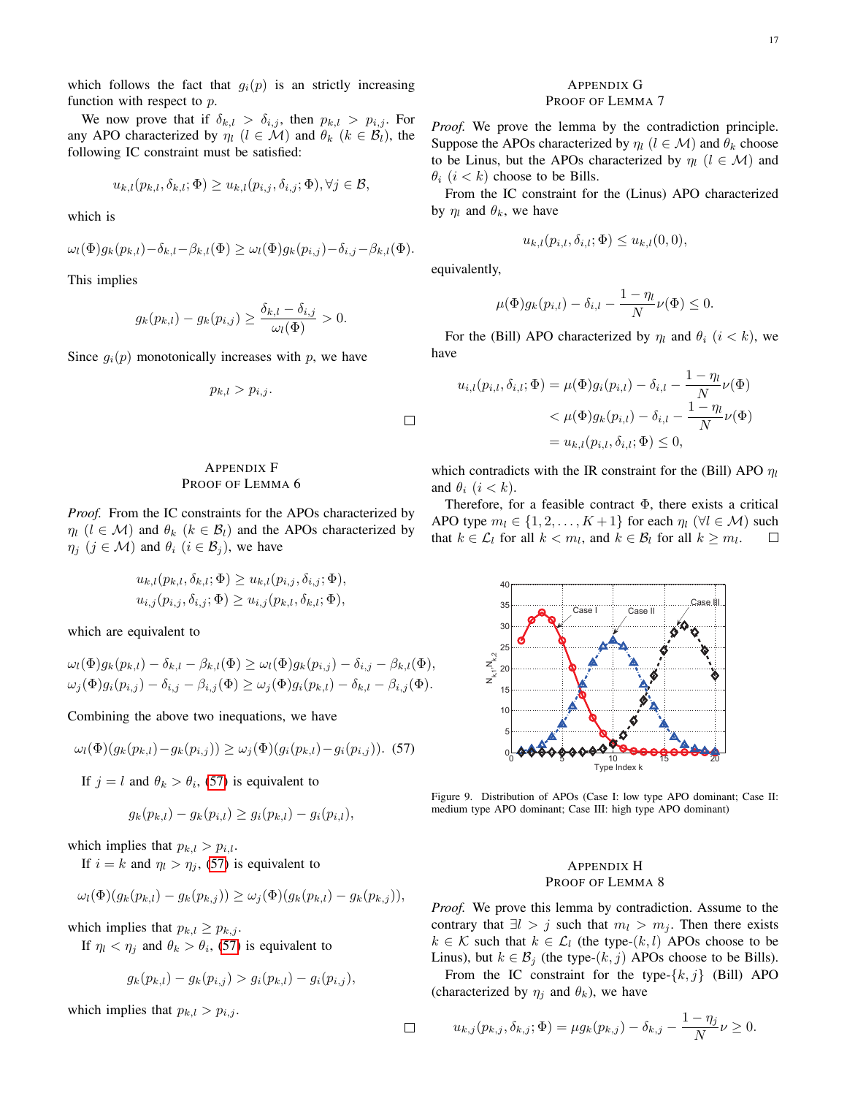which follows the fact that  $g_i(p)$  is an strictly increasing function with respect to p.

We now prove that if  $\delta_{k,l} > \delta_{i,j}$ , then  $p_{k,l} > p_{i,j}$ . For any APO characterized by  $\eta_l$  ( $l \in \mathcal{M}$ ) and  $\theta_k$  ( $k \in \mathcal{B}_l$ ), the following IC constraint must be satisfied:

$$
u_{k,l}(p_{k,l},\delta_{k,l};\Phi) \ge u_{k,l}(p_{i,j},\delta_{i,j};\Phi), \forall j \in \mathcal{B},
$$

which is

$$
\omega_l(\Phi)g_k(p_{k,l})-\delta_{k,l}-\beta_{k,l}(\Phi)\geq \omega_l(\Phi)g_k(p_{i,j})-\delta_{i,j}-\beta_{k,l}(\Phi).
$$

This implies

$$
g_k(p_{k,l}) - g_k(p_{i,j}) \ge \frac{\delta_{k,l} - \delta_{i,j}}{\omega_l(\Phi)} > 0.
$$

Since  $g_i(p)$  monotonically increases with p, we have

$$
p_{k,l} > p_{i,j}.
$$

 $\Box$ 

 $\Box$ 

# APPENDIX F PROOF OF LEMMA 6

*Proof.* From the IC constraints for the APOs characterized by  $\eta_l$  ( $l \in \mathcal{M}$ ) and  $\theta_k$  ( $k \in \mathcal{B}_l$ ) and the APOs characterized by  $\eta_j$  ( $j \in \mathcal{M}$ ) and  $\theta_i$  ( $i \in \mathcal{B}_j$ ), we have

$$
u_{k,l}(p_{k,l}, \delta_{k,l}; \Phi) \geq u_{k,l}(p_{i,j}, \delta_{i,j}; \Phi),
$$
  

$$
u_{i,j}(p_{i,j}, \delta_{i,j}; \Phi) \geq u_{i,j}(p_{k,l}, \delta_{k,l}; \Phi),
$$

which are equivalent to

$$
\omega_l(\Phi)g_k(p_{k,l}) - \delta_{k,l} - \beta_{k,l}(\Phi) \ge \omega_l(\Phi)g_k(p_{i,j}) - \delta_{i,j} - \beta_{k,l}(\Phi),
$$
  

$$
\omega_j(\Phi)g_i(p_{i,j}) - \delta_{i,j} - \beta_{i,j}(\Phi) \ge \omega_j(\Phi)g_i(p_{k,l}) - \delta_{k,l} - \beta_{i,j}(\Phi).
$$

Combining the above two inequations, we have

<span id="page-16-0"></span>
$$
\omega_l(\Phi)(g_k(p_{k,l}) - g_k(p_{i,j})) \ge \omega_j(\Phi)(g_i(p_{k,l}) - g_i(p_{i,j})).
$$
 (57)

If  $j = l$  and  $\theta_k > \theta_i$ , [\(57\)](#page-16-0) is equivalent to

$$
g_k(p_{k,l}) - g_k(p_{i,l}) \ge g_i(p_{k,l}) - g_i(p_{i,l}),
$$

which implies that  $p_{k,l} > p_{i,l}$ .

If  $i = k$  and  $\eta_l > \eta_j$ , [\(57\)](#page-16-0) is equivalent to

$$
\omega_l(\Phi)(g_k(p_{k,l}) - g_k(p_{k,j})) \ge \omega_j(\Phi)(g_k(p_{k,l}) - g_k(p_{k,j})),
$$

which implies that  $p_{k,l} \geq p_{k,j}$ .

If  $\eta_l < \eta_j$  and  $\theta_k > \theta_i$ , [\(57\)](#page-16-0) is equivalent to

$$
g_k(p_{k,l}) - g_k(p_{i,j}) > g_i(p_{k,l}) - g_i(p_{i,j}),
$$

which implies that  $p_{k,l} > p_{i,j}$ .

# APPENDIX G PROOF OF LEMMA 7

*Proof.* We prove the lemma by the contradiction principle. Suppose the APOs characterized by  $\eta_l$  ( $l \in \mathcal{M}$ ) and  $\theta_k$  choose to be Linus, but the APOs characterized by  $\eta_l$  ( $l \in \mathcal{M}$ ) and  $\theta_i$  ( $i < k$ ) choose to be Bills.

From the IC constraint for the (Linus) APO characterized by  $\eta_l$  and  $\theta_k$ , we have

$$
u_{k,l}(p_{i,l}, \delta_{i,l}; \Phi) \leq u_{k,l}(0,0),
$$

equivalently,

$$
\mu(\Phi)g_k(p_{i,l}) - \delta_{i,l} - \frac{1-\eta_l}{N}\nu(\Phi) \le 0.
$$

For the (Bill) APO characterized by  $\eta_l$  and  $\theta_i$  ( $i < k$ ), we have

$$
u_{i,l}(p_{i,l}, \delta_{i,l}; \Phi) = \mu(\Phi)g_i(p_{i,l}) - \delta_{i,l} - \frac{1 - \eta_l}{N} \nu(\Phi)
$$
  

$$
< \mu(\Phi)g_k(p_{i,l}) - \delta_{i,l} - \frac{1 - \eta_l}{N} \nu(\Phi)
$$
  

$$
= u_{k,l}(p_{i,l}, \delta_{i,l}; \Phi) \le 0,
$$

which contradicts with the IR constraint for the (Bill) APO  $\eta_l$ and  $\theta_i$   $(i < k)$ .

Therefore, for a feasible contract  $\Phi$ , there exists a critical APO type  $m_l \in \{1, 2, ..., K+1\}$  for each  $\eta_l$  ( $\forall l \in \mathcal{M}$ ) such that  $k \in \mathcal{L}_l$  for all  $k < m_l$ , and  $k \in \mathcal{B}_l$  for all  $k \geq m_l$ .  $\Box$ 



<span id="page-16-1"></span>Figure 9. Distribution of APOs (Case I: low type APO dominant; Case II: medium type APO dominant; Case III: high type APO dominant)

# APPENDIX H PROOF OF LEMMA 8

*Proof.* We prove this lemma by contradiction. Assume to the contrary that  $\exists l > j$  such that  $m_l > m_j$ . Then there exists  $k \in \mathcal{K}$  such that  $k \in \mathcal{L}_l$  (the type- $(k, l)$ ) APOs choose to be Linus), but  $k \in \mathcal{B}_j$  (the type- $(k, j)$  APOs choose to be Bills).

From the IC constraint for the type- ${k, j}$  (Bill) APO (characterized by  $\eta_i$  and  $\theta_k$ ), we have

$$
u_{k,j}(p_{k,j}, \delta_{k,j}; \Phi) = \mu g_k(p_{k,j}) - \delta_{k,j} - \frac{1 - \eta_j}{N} \nu \ge 0.
$$